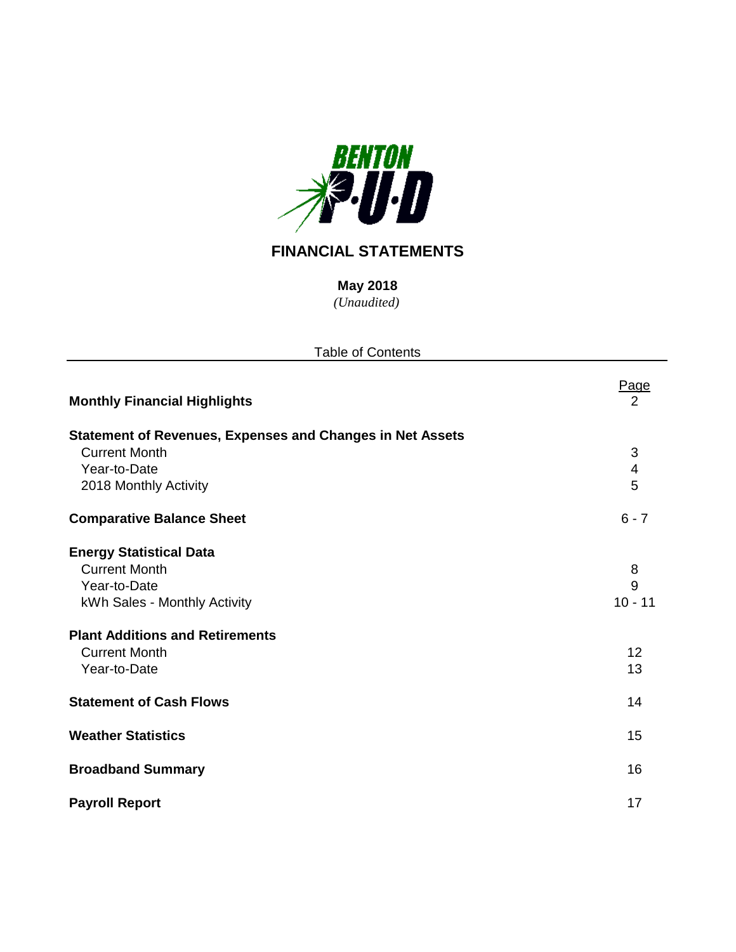

# **FINANCIAL STATEMENTS**

*(Unaudited)* **May 2018**

| <b>Table of Contents</b>                                         |                |  |  |  |  |  |
|------------------------------------------------------------------|----------------|--|--|--|--|--|
| <b>Monthly Financial Highlights</b>                              | Page<br>2      |  |  |  |  |  |
| <b>Statement of Revenues, Expenses and Changes in Net Assets</b> |                |  |  |  |  |  |
| <b>Current Month</b>                                             | 3              |  |  |  |  |  |
| Year-to-Date                                                     | $\overline{4}$ |  |  |  |  |  |
| 2018 Monthly Activity                                            | 5              |  |  |  |  |  |
| <b>Comparative Balance Sheet</b>                                 | $6 - 7$        |  |  |  |  |  |
| <b>Energy Statistical Data</b>                                   |                |  |  |  |  |  |
| <b>Current Month</b>                                             | 8              |  |  |  |  |  |
| Year-to-Date                                                     | 9              |  |  |  |  |  |
| kWh Sales - Monthly Activity                                     | $10 - 11$      |  |  |  |  |  |
| <b>Plant Additions and Retirements</b>                           |                |  |  |  |  |  |
| <b>Current Month</b>                                             | 12             |  |  |  |  |  |
| Year-to-Date                                                     | 13             |  |  |  |  |  |
| <b>Statement of Cash Flows</b>                                   | 14             |  |  |  |  |  |
| <b>Weather Statistics</b>                                        | 15             |  |  |  |  |  |
| <b>Broadband Summary</b>                                         | 16             |  |  |  |  |  |
| <b>Payroll Report</b>                                            | 17             |  |  |  |  |  |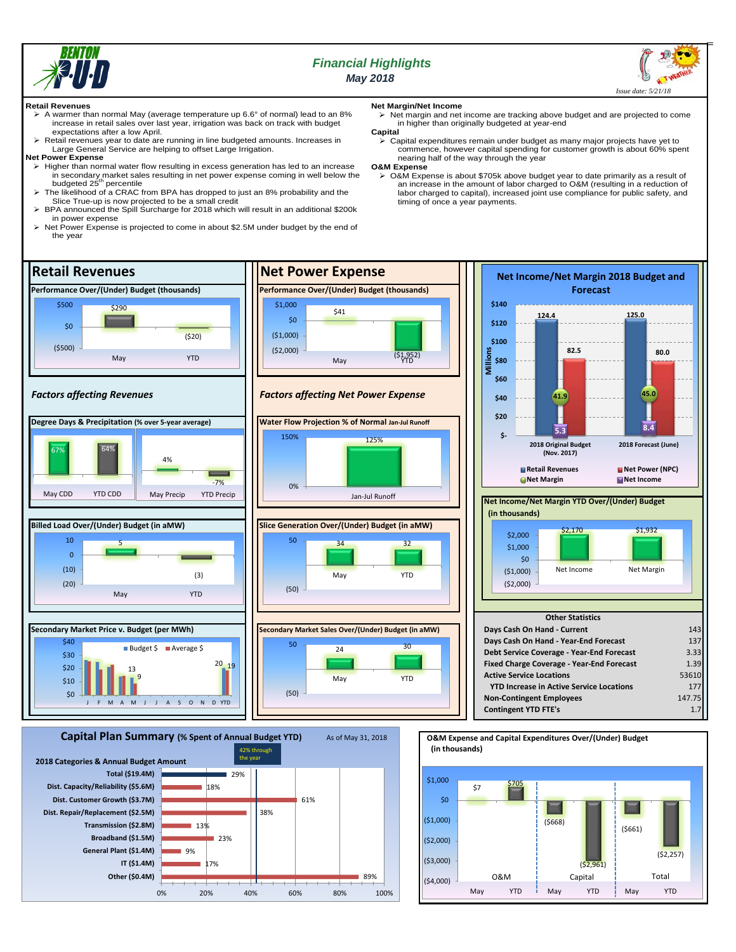

# *Financial Highlights May 2018*



#### **Retail Revenues**

- A warmer than normal May (average temperature up 6.6° of normal) lead to an 8% increase in retail sales over last year, irrigation was back on track with budget expectations after a low April.
- $\geq$  Retail revenues year to date are running in line budgeted amounts. Increases in Large General Service are helping to offset Large Irrigation.

#### **Net Power Expense**

- $\triangleright$  Higher than normal water flow resulting in excess generation has led to an increase in secondary market sales resulting in net power expense coming in well below the<br>budgeted 25<sup>th</sup> percentile
- The likelihood of a CRAC from BPA has dropped to just an 8% probability and the Slice True-up is now projected to be a small credit
- BPA announced the Spill Surcharge for 2018 which will result in an additional \$200k in power expense
- > Net Power Expense is projected to come in about \$2.5M under budget by the end of the year

17%

18%

23%

29%

38%

0% 20% 40% 60% 80% 100%

61%

9%

**Other (\$0.4M) IT (\$1.4M) General Plant (\$1.4M) Broadband (\$1.5M) Transmission (\$2.8M) Dist. Repair/Replacement (\$2.5M) Dist. Customer Growth (\$3.7M) Dist. Capacity/Reliability (\$5.6M)**

**Total (\$19.4M)**

13%

- **Net Margin/Net Income**
	- Net margin and net income are tracking above budget and are projected to come in higher than originally budgeted at year-end
- **Capital** Capital expenditures remain under budget as many major projects have yet to commence, however capital spending for customer growth is about 60% spent nearing half of the way through the year

#### **O&M Expense**

 O&M Expense is about \$705k above budget year to date primarily as a result of an increase in the amount of labor charged to O&M (resulting in a reduction of labor charged to capital), increased joint use compliance for public safety, and timing of once a year payments.



89%

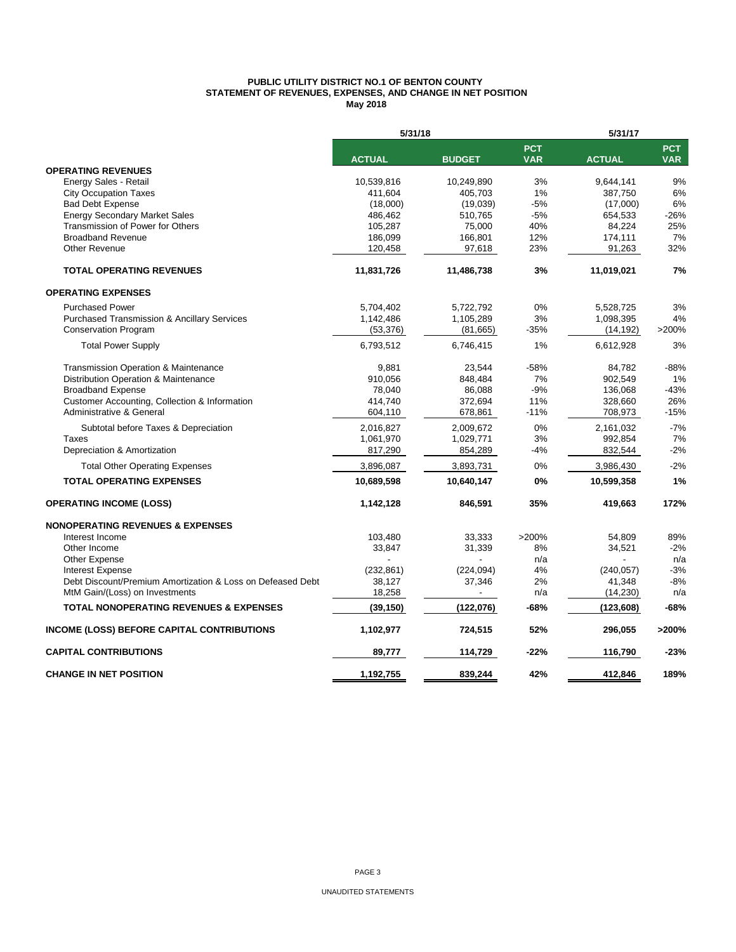#### **PUBLIC UTILITY DISTRICT NO.1 OF BENTON COUNTY STATEMENT OF REVENUES, EXPENSES, AND CHANGE IN NET POSITION May 2018**

|                                                            | 5/31/18       |               | 5/31/17                  |               |                          |  |
|------------------------------------------------------------|---------------|---------------|--------------------------|---------------|--------------------------|--|
|                                                            | <b>ACTUAL</b> | <b>BUDGET</b> | <b>PCT</b><br><b>VAR</b> | <b>ACTUAL</b> | <b>PCT</b><br><b>VAR</b> |  |
| <b>OPERATING REVENUES</b>                                  |               |               |                          |               |                          |  |
| Energy Sales - Retail                                      | 10,539,816    | 10,249,890    | 3%                       | 9,644,141     | 9%                       |  |
| <b>City Occupation Taxes</b>                               | 411,604       | 405,703       | 1%                       | 387,750       | 6%                       |  |
| <b>Bad Debt Expense</b>                                    | (18,000)      | (19,039)      | $-5%$                    | (17,000)      | 6%                       |  |
| <b>Energy Secondary Market Sales</b>                       | 486,462       | 510,765       | $-5%$                    | 654,533       | $-26%$                   |  |
| Transmission of Power for Others                           | 105,287       | 75,000        | 40%                      | 84,224        | 25%                      |  |
| <b>Broadband Revenue</b>                                   | 186,099       | 166,801       | 12%                      | 174,111       | 7%                       |  |
| <b>Other Revenue</b>                                       | 120,458       | 97,618        | 23%                      | 91,263        | 32%                      |  |
| <b>TOTAL OPERATING REVENUES</b>                            | 11,831,726    | 11,486,738    | 3%                       | 11,019,021    | 7%                       |  |
| <b>OPERATING EXPENSES</b>                                  |               |               |                          |               |                          |  |
| <b>Purchased Power</b>                                     | 5,704,402     | 5,722,792     | 0%                       | 5,528,725     | 3%                       |  |
| <b>Purchased Transmission &amp; Ancillary Services</b>     | 1,142,486     | 1,105,289     | 3%                       | 1,098,395     | 4%                       |  |
| <b>Conservation Program</b>                                | (53, 376)     | (81, 665)     | $-35%$                   | (14, 192)     | >200%                    |  |
| <b>Total Power Supply</b>                                  | 6,793,512     | 6,746,415     | 1%                       | 6,612,928     | 3%                       |  |
| Transmission Operation & Maintenance                       | 9,881         | 23,544        | -58%                     | 84,782        | $-88%$                   |  |
| Distribution Operation & Maintenance                       | 910.056       | 848,484       | 7%                       | 902,549       | 1%                       |  |
| <b>Broadband Expense</b>                                   | 78,040        | 86,088        | $-9%$                    | 136,068       | $-43%$                   |  |
| Customer Accounting, Collection & Information              | 414,740       | 372,694       | 11%                      | 328,660       | 26%                      |  |
| Administrative & General                                   | 604,110       | 678,861       | $-11%$                   | 708,973       | $-15%$                   |  |
| Subtotal before Taxes & Depreciation                       | 2,016,827     | 2,009,672     | 0%                       | 2,161,032     | $-7%$                    |  |
| <b>Taxes</b>                                               | 1,061,970     | 1,029,771     | 3%                       | 992,854       | 7%                       |  |
| Depreciation & Amortization                                | 817,290       | 854,289       | -4%                      | 832,544       | $-2%$                    |  |
| <b>Total Other Operating Expenses</b>                      | 3,896,087     | 3,893,731     | 0%                       | 3,986,430     | $-2%$                    |  |
| <b>TOTAL OPERATING EXPENSES</b>                            | 10,689,598    | 10,640,147    | 0%                       | 10,599,358    | 1%                       |  |
| <b>OPERATING INCOME (LOSS)</b>                             | 1,142,128     | 846,591       | 35%                      | 419,663       | 172%                     |  |
| <b>NONOPERATING REVENUES &amp; EXPENSES</b>                |               |               |                          |               |                          |  |
| Interest Income                                            | 103,480       | 33,333        | >200%                    | 54,809        | 89%                      |  |
| Other Income                                               | 33,847        | 31,339        | 8%                       | 34,521        | $-2%$                    |  |
| <b>Other Expense</b>                                       |               |               | n/a                      |               | n/a                      |  |
| <b>Interest Expense</b>                                    | (232, 861)    | (224, 094)    | 4%                       | (240, 057)    | $-3%$                    |  |
| Debt Discount/Premium Amortization & Loss on Defeased Debt | 38,127        | 37,346        | 2%                       | 41,348        | $-8%$                    |  |
| MtM Gain/(Loss) on Investments                             | 18,258        |               | n/a                      | (14,230)      | n/a                      |  |
| <b>TOTAL NONOPERATING REVENUES &amp; EXPENSES</b>          | (39, 150)     | (122,076)     | -68%                     | (123, 608)    | -68%                     |  |
| INCOME (LOSS) BEFORE CAPITAL CONTRIBUTIONS                 | 1,102,977     | 724,515       | 52%                      | 296,055       | >200%                    |  |
| <b>CAPITAL CONTRIBUTIONS</b>                               | 89,777        | 114,729       | -22%                     | 116,790       | $-23%$                   |  |
| <b>CHANGE IN NET POSITION</b>                              | 1.192.755     | 839.244       | 42%                      | 412.846       | 189%                     |  |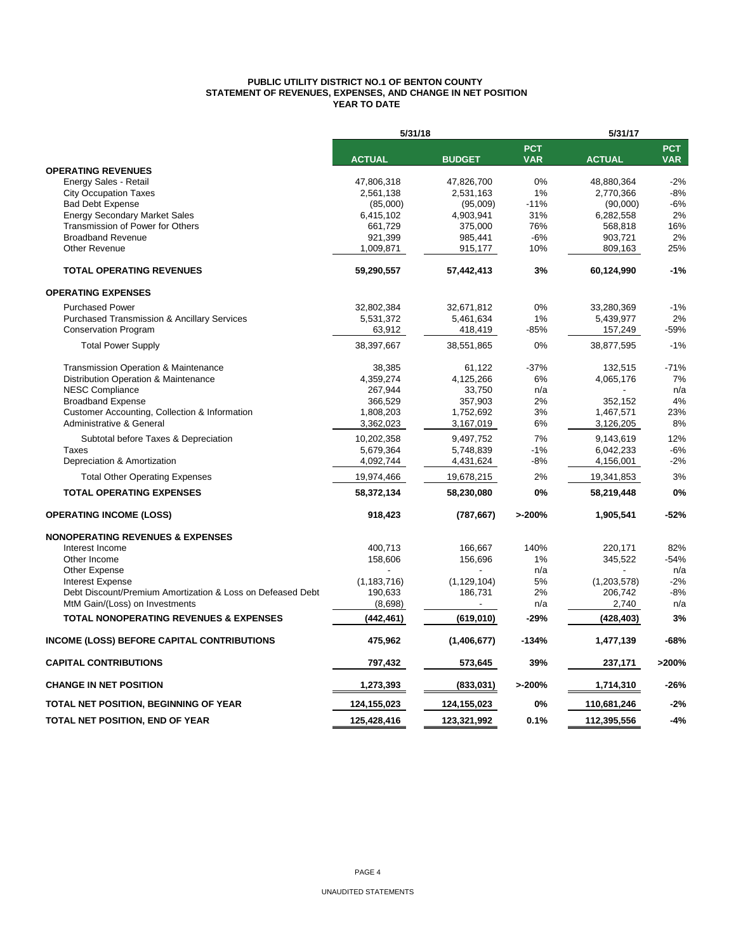#### **PUBLIC UTILITY DISTRICT NO.1 OF BENTON COUNTY STATEMENT OF REVENUES, EXPENSES, AND CHANGE IN NET POSITION YEAR TO DATE**

|                                                            | 5/31/18       |               |                          | 5/31/17       |                          |  |  |
|------------------------------------------------------------|---------------|---------------|--------------------------|---------------|--------------------------|--|--|
|                                                            | <b>ACTUAL</b> | <b>BUDGET</b> | <b>PCT</b><br><b>VAR</b> | <b>ACTUAL</b> | <b>PCT</b><br><b>VAR</b> |  |  |
| <b>OPERATING REVENUES</b>                                  |               |               |                          |               |                          |  |  |
| Energy Sales - Retail                                      | 47,806,318    | 47,826,700    | 0%                       | 48,880,364    | $-2%$                    |  |  |
| <b>City Occupation Taxes</b>                               | 2,561,138     | 2,531,163     | 1%                       | 2,770,366     | $-8%$                    |  |  |
| <b>Bad Debt Expense</b>                                    | (85,000)      | (95,009)      | $-11%$                   | (90,000)      | $-6%$                    |  |  |
| <b>Energy Secondary Market Sales</b>                       | 6,415,102     | 4,903,941     | 31%                      | 6,282,558     | 2%                       |  |  |
| Transmission of Power for Others                           | 661,729       | 375.000       | 76%                      | 568,818       | 16%                      |  |  |
| <b>Broadband Revenue</b>                                   | 921,399       | 985,441       | $-6%$                    | 903,721       | 2%                       |  |  |
| Other Revenue                                              | 1,009,871     | 915,177       | 10%                      | 809,163       | 25%                      |  |  |
| <b>TOTAL OPERATING REVENUES</b>                            | 59,290,557    | 57,442,413    | 3%                       | 60,124,990    | $-1%$                    |  |  |
| <b>OPERATING EXPENSES</b>                                  |               |               |                          |               |                          |  |  |
| <b>Purchased Power</b>                                     | 32,802,384    | 32,671,812    | 0%                       | 33,280,369    | $-1%$                    |  |  |
| <b>Purchased Transmission &amp; Ancillary Services</b>     | 5,531,372     | 5,461,634     | 1%                       | 5,439,977     | 2%                       |  |  |
| <b>Conservation Program</b>                                | 63,912        | 418,419       | $-85%$                   | 157,249       | -59%                     |  |  |
| <b>Total Power Supply</b>                                  | 38,397,667    | 38,551,865    | 0%                       | 38,877,595    | $-1%$                    |  |  |
| <b>Transmission Operation &amp; Maintenance</b>            | 38,385        | 61,122        | $-37%$                   | 132,515       | $-71%$                   |  |  |
| Distribution Operation & Maintenance                       | 4,359,274     | 4,125,266     | 6%                       | 4,065,176     | 7%                       |  |  |
| <b>NESC Compliance</b>                                     | 267,944       | 33,750        | n/a                      |               | n/a                      |  |  |
| <b>Broadband Expense</b>                                   | 366,529       | 357,903       | 2%                       | 352,152       | 4%                       |  |  |
| Customer Accounting, Collection & Information              | 1,808,203     | 1,752,692     | 3%                       | 1,467,571     | 23%                      |  |  |
| Administrative & General                                   | 3,362,023     | 3,167,019     | 6%                       | 3,126,205     | 8%                       |  |  |
| Subtotal before Taxes & Depreciation                       | 10,202,358    | 9,497,752     | 7%                       | 9,143,619     | 12%                      |  |  |
| Taxes                                                      | 5,679,364     | 5,748,839     | $-1%$                    | 6,042,233     | $-6%$                    |  |  |
| Depreciation & Amortization                                | 4,092,744     | 4,431,624     | $-8%$                    | 4,156,001     | $-2%$                    |  |  |
| <b>Total Other Operating Expenses</b>                      | 19,974,466    | 19,678,215    | 2%                       | 19,341,853    | 3%                       |  |  |
| <b>TOTAL OPERATING EXPENSES</b>                            | 58,372,134    | 58,230,080    | 0%                       | 58,219,448    | 0%                       |  |  |
| <b>OPERATING INCOME (LOSS)</b>                             | 918,423       | (787, 667)    | >200%                    | 1,905,541     | $-52%$                   |  |  |
| <b>NONOPERATING REVENUES &amp; EXPENSES</b>                |               |               |                          |               |                          |  |  |
| Interest Income                                            | 400,713       | 166,667       | 140%                     | 220,171       | 82%                      |  |  |
| Other Income                                               | 158,606       | 156,696       | 1%                       | 345,522       | $-54%$                   |  |  |
| Other Expense                                              |               |               | n/a                      |               | n/a                      |  |  |
| <b>Interest Expense</b>                                    | (1, 183, 716) | (1, 129, 104) | 5%                       | (1,203,578)   | $-2%$                    |  |  |
| Debt Discount/Premium Amortization & Loss on Defeased Debt | 190,633       | 186,731       | 2%                       | 206,742       | $-8%$                    |  |  |
| MtM Gain/(Loss) on Investments                             | (8,698)       |               | n/a                      | 2,740         | n/a                      |  |  |
| <b>TOTAL NONOPERATING REVENUES &amp; EXPENSES</b>          | (442,461)     | (619,010)     | -29%                     | (428,403)     | 3%                       |  |  |
| <b>INCOME (LOSS) BEFORE CAPITAL CONTRIBUTIONS</b>          | 475,962       | (1,406,677)   | $-134%$                  | 1,477,139     | -68%                     |  |  |
| <b>CAPITAL CONTRIBUTIONS</b>                               | 797,432       | 573,645       | 39%                      | 237,171       | >200%                    |  |  |
| <b>CHANGE IN NET POSITION</b>                              | 1,273,393     | (833,031)     | >200%                    | 1,714,310     | $-26%$                   |  |  |
| TOTAL NET POSITION, BEGINNING OF YEAR                      | 124,155,023   | 124,155,023   | 0%                       | 110,681,246   | $-2%$                    |  |  |
| TOTAL NET POSITION, END OF YEAR                            | 125,428,416   | 123,321,992   | 0.1%                     | 112,395,556   | $-4%$                    |  |  |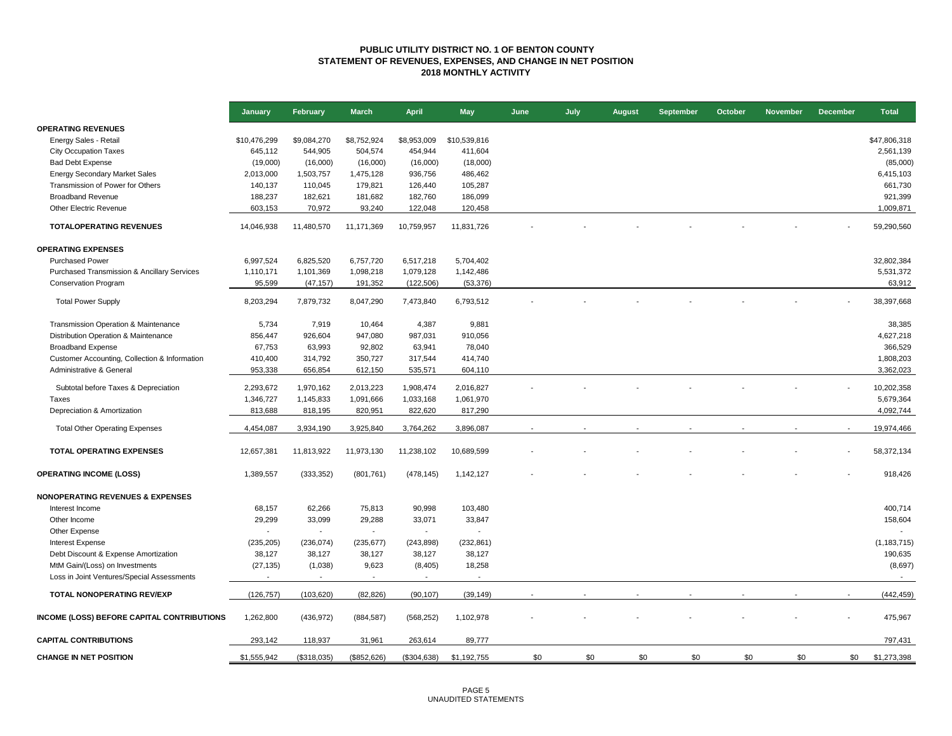#### **PUBLIC UTILITY DISTRICT NO. 1 OF BENTON COUNTY STATEMENT OF REVENUES, EXPENSES, AND CHANGE IN NET POSITION 2018 MONTHLY ACTIVITY**

|                                                   | January      | February                 | <b>March</b>             | <b>April</b>   | <b>May</b>     | June                     | July | <b>August</b> | <b>September</b> | October | <b>November</b> | <b>December</b> | <b>Total</b>  |
|---------------------------------------------------|--------------|--------------------------|--------------------------|----------------|----------------|--------------------------|------|---------------|------------------|---------|-----------------|-----------------|---------------|
| <b>OPERATING REVENUES</b>                         |              |                          |                          |                |                |                          |      |               |                  |         |                 |                 |               |
| Energy Sales - Retail                             | \$10,476,299 | \$9,084,270              | \$8,752,924              | \$8,953,009    | \$10,539,816   |                          |      |               |                  |         |                 |                 | \$47,806,318  |
| <b>City Occupation Taxes</b>                      | 645,112      | 544,905                  | 504,574                  | 454,944        | 411,604        |                          |      |               |                  |         |                 |                 | 2,561,139     |
| <b>Bad Debt Expense</b>                           | (19,000)     | (16,000)                 | (16,000)                 | (16,000)       | (18,000)       |                          |      |               |                  |         |                 |                 | (85,000)      |
| <b>Energy Secondary Market Sales</b>              | 2,013,000    | 1,503,757                | 1,475,128                | 936,756        | 486,462        |                          |      |               |                  |         |                 |                 | 6,415,103     |
| Transmission of Power for Others                  | 140,137      | 110,045                  | 179,821                  | 126,440        | 105,287        |                          |      |               |                  |         |                 |                 | 661,730       |
| <b>Broadband Revenue</b>                          | 188,237      | 182,621                  | 181,682                  | 182,760        | 186,099        |                          |      |               |                  |         |                 |                 | 921,399       |
| Other Electric Revenue                            | 603,153      | 70,972                   | 93,240                   | 122,048        | 120,458        |                          |      |               |                  |         |                 |                 | 1,009,871     |
| <b>TOTALOPERATING REVENUES</b>                    | 14,046,938   | 11,480,570               | 11,171,369               | 10,759,957     | 11,831,726     |                          |      |               |                  |         |                 |                 | 59,290,560    |
|                                                   |              |                          |                          |                |                |                          |      |               |                  |         |                 |                 |               |
| <b>OPERATING EXPENSES</b>                         |              |                          |                          |                |                |                          |      |               |                  |         |                 |                 |               |
| <b>Purchased Power</b>                            | 6,997,524    | 6,825,520                | 6,757,720                | 6,517,218      | 5,704,402      |                          |      |               |                  |         |                 |                 | 32,802,384    |
| Purchased Transmission & Ancillary Services       | 1,110,171    | 1,101,369                | 1,098,218                | 1,079,128      | 1,142,486      |                          |      |               |                  |         |                 |                 | 5,531,372     |
| <b>Conservation Program</b>                       | 95,599       | (47, 157)                | 191,352                  | (122, 506)     | (53, 376)      |                          |      |               |                  |         |                 |                 | 63,912        |
| <b>Total Power Supply</b>                         | 8,203,294    | 7,879,732                | 8,047,290                | 7,473,840      | 6,793,512      |                          |      |               |                  |         |                 |                 | 38,397,668    |
| Transmission Operation & Maintenance              | 5,734        | 7,919                    | 10,464                   | 4,387          | 9,881          |                          |      |               |                  |         |                 |                 | 38,385        |
| Distribution Operation & Maintenance              | 856,447      | 926,604                  | 947,080                  | 987,031        | 910,056        |                          |      |               |                  |         |                 |                 | 4,627,218     |
| <b>Broadband Expense</b>                          | 67,753       | 63,993                   | 92,802                   | 63,941         | 78,040         |                          |      |               |                  |         |                 |                 | 366,529       |
| Customer Accounting, Collection & Information     | 410,400      | 314,792                  | 350,727                  | 317,544        | 414,740        |                          |      |               |                  |         |                 |                 | 1,808,203     |
| Administrative & General                          | 953,338      | 656,854                  | 612,150                  | 535,571        | 604,110        |                          |      |               |                  |         |                 |                 | 3,362,023     |
| Subtotal before Taxes & Depreciation              | 2,293,672    | 1,970,162                | 2,013,223                | 1,908,474      | 2,016,827      |                          |      |               |                  |         |                 |                 | 10,202,358    |
| Taxes                                             | 1,346,727    | 1,145,833                | 1,091,666                | 1,033,168      | 1,061,970      |                          |      |               |                  |         |                 |                 | 5,679,364     |
| Depreciation & Amortization                       | 813,688      | 818,195                  | 820,951                  | 822,620        | 817,290        |                          |      |               |                  |         |                 |                 | 4,092,744     |
|                                                   |              |                          |                          |                |                |                          |      |               |                  |         |                 |                 |               |
| <b>Total Other Operating Expenses</b>             | 4,454,087    | 3,934,190                | 3,925,840                | 3,764,262      | 3,896,087      | $\overline{\phantom{a}}$ |      |               |                  |         |                 |                 | 19,974,466    |
| <b>TOTAL OPERATING EXPENSES</b>                   | 12,657,381   | 11,813,922               | 11,973,130               | 11,238,102     | 10,689,599     |                          |      |               |                  |         |                 |                 | 58,372,134    |
| <b>OPERATING INCOME (LOSS)</b>                    | 1,389,557    | (333, 352)               | (801, 761)               | (478, 145)     | 1,142,127      |                          |      |               |                  |         |                 |                 | 918,426       |
| <b>NONOPERATING REVENUES &amp; EXPENSES</b>       |              |                          |                          |                |                |                          |      |               |                  |         |                 |                 |               |
| Interest Income                                   | 68,157       | 62,266                   | 75,813                   | 90,998         | 103,480        |                          |      |               |                  |         |                 |                 | 400,714       |
| Other Income                                      | 29,299       | 33,099                   | 29,288                   | 33,071         | 33,847         |                          |      |               |                  |         |                 |                 | 158,604       |
| Other Expense                                     |              |                          |                          | $\blacksquare$ | $\blacksquare$ |                          |      |               |                  |         |                 |                 |               |
| <b>Interest Expense</b>                           | (235, 205)   | (236, 074)               | (235, 677)               | (243, 898)     | (232, 861)     |                          |      |               |                  |         |                 |                 | (1, 183, 715) |
| Debt Discount & Expense Amortization              | 38,127       | 38,127                   | 38,127                   | 38,127         | 38,127         |                          |      |               |                  |         |                 |                 | 190,635       |
| MtM Gain/(Loss) on Investments                    | (27, 135)    | (1,038)                  | 9,623                    | (8, 405)       | 18,258         |                          |      |               |                  |         |                 |                 | (8,697)       |
| Loss in Joint Ventures/Special Assessments        |              | $\overline{\phantom{a}}$ | $\overline{\phantom{a}}$ | $\sim$         |                |                          |      |               |                  |         |                 |                 |               |
| TOTAL NONOPERATING REV/EXP                        | (126, 757)   | (103, 620)               | (82, 826)                | (90, 107)      | (39, 149)      | $\blacksquare$           |      |               |                  |         |                 |                 | (442, 459)    |
| <b>INCOME (LOSS) BEFORE CAPITAL CONTRIBUTIONS</b> | 1,262,800    | (436, 972)               | (884, 587)               | (568, 252)     | 1,102,978      |                          |      |               |                  |         |                 |                 | 475,967       |
| <b>CAPITAL CONTRIBUTIONS</b>                      | 293.142      | 118,937                  | 31,961                   | 263,614        | 89.777         |                          |      |               |                  |         |                 |                 | 797,431       |
| <b>CHANGE IN NET POSITION</b>                     | \$1,555,942  | (\$318,035)              | (\$852,626)              | (\$304,638)    | \$1,192,755    | \$0                      | \$0  | \$0           | \$0              | \$0     | \$0             | \$0             | \$1,273,398   |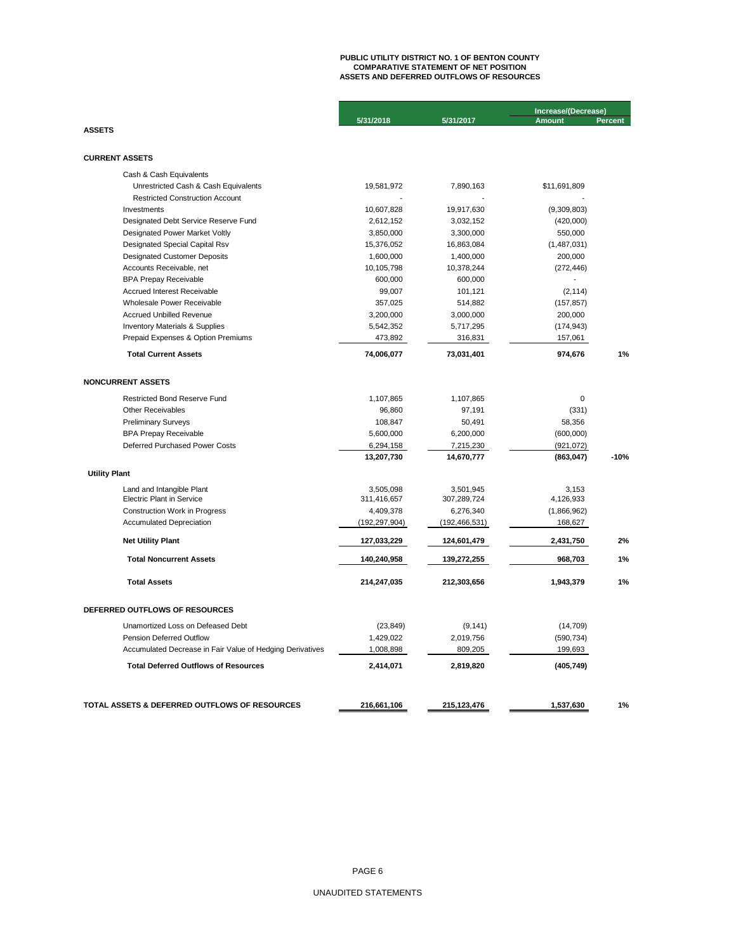# **PUBLIC UTILITY DISTRICT NO. 1 OF BENTON COUNTY COMPARATIVE STATEMENT OF NET POSITION ASSETS AND DEFERRED OUTFLOWS OF RESOURCES**

|                                                           |                 |                 | Increase/(Decrease) |                |  |
|-----------------------------------------------------------|-----------------|-----------------|---------------------|----------------|--|
|                                                           | 5/31/2018       | 5/31/2017       | <b>Amount</b>       | <b>Percent</b> |  |
| <b>ASSETS</b>                                             |                 |                 |                     |                |  |
| <b>CURRENT ASSETS</b>                                     |                 |                 |                     |                |  |
| Cash & Cash Equivalents                                   |                 |                 |                     |                |  |
| Unrestricted Cash & Cash Equivalents                      | 19,581,972      | 7,890,163       | \$11,691,809        |                |  |
| <b>Restricted Construction Account</b>                    |                 |                 |                     |                |  |
| Investments                                               | 10,607,828      | 19,917,630      | (9,309,803)         |                |  |
| Designated Debt Service Reserve Fund                      | 2,612,152       | 3,032,152       | (420,000)           |                |  |
| Designated Power Market Voltly                            | 3,850,000       | 3,300,000       | 550,000             |                |  |
| Designated Special Capital Rsv                            | 15,376,052      | 16,863,084      | (1,487,031)         |                |  |
| <b>Designated Customer Deposits</b>                       | 1,600,000       | 1,400,000       | 200,000             |                |  |
| Accounts Receivable, net                                  | 10,105,798      | 10,378,244      | (272, 446)          |                |  |
| <b>BPA Prepay Receivable</b>                              | 600,000         | 600,000         |                     |                |  |
| Accrued Interest Receivable                               | 99,007          | 101,121         | (2, 114)            |                |  |
| Wholesale Power Receivable                                | 357,025         | 514,882         | (157, 857)          |                |  |
| <b>Accrued Unbilled Revenue</b>                           | 3,200,000       | 3,000,000       | 200,000             |                |  |
| <b>Inventory Materials &amp; Supplies</b>                 | 5,542,352       | 5,717,295       | (174, 943)          |                |  |
| Prepaid Expenses & Option Premiums                        | 473,892         | 316,831         | 157,061             |                |  |
| <b>Total Current Assets</b>                               | 74,006,077      | 73,031,401      | 974,676             | 1%             |  |
| <b>NONCURRENT ASSETS</b>                                  |                 |                 |                     |                |  |
| <b>Restricted Bond Reserve Fund</b>                       | 1,107,865       | 1,107,865       | 0                   |                |  |
| <b>Other Receivables</b>                                  | 96,860          | 97,191          | (331)               |                |  |
| <b>Preliminary Surveys</b>                                | 108,847         | 50,491          | 58,356              |                |  |
| <b>BPA Prepay Receivable</b>                              | 5,600,000       | 6,200,000       | (600,000)           |                |  |
| Deferred Purchased Power Costs                            | 6,294,158       | 7,215,230       | (921, 072)          |                |  |
|                                                           | 13,207,730      | 14,670,777      | (863, 047)          | $-10%$         |  |
| <b>Utility Plant</b>                                      |                 |                 |                     |                |  |
| Land and Intangible Plant                                 | 3,505,098       | 3,501,945       | 3,153               |                |  |
| <b>Electric Plant in Service</b>                          | 311,416,657     | 307,289,724     | 4,126,933           |                |  |
| <b>Construction Work in Progress</b>                      | 4,409,378       | 6,276,340       | (1,866,962)         |                |  |
| <b>Accumulated Depreciation</b>                           | (192, 297, 904) | (192, 466, 531) | 168,627             |                |  |
| <b>Net Utility Plant</b>                                  | 127,033,229     | 124,601,479     | 2,431,750           | 2%             |  |
| <b>Total Noncurrent Assets</b>                            | 140,240,958     | 139,272,255     | 968,703             | 1%             |  |
| <b>Total Assets</b>                                       | 214,247,035     | 212,303,656     | 1,943,379           | 1%             |  |
| DEFERRED OUTFLOWS OF RESOURCES                            |                 |                 |                     |                |  |
| Unamortized Loss on Defeased Debt                         | (23, 849)       | (9, 141)        | (14, 709)           |                |  |
| <b>Pension Deferred Outflow</b>                           | 1,429,022       | 2,019,756       | (590, 734)          |                |  |
| Accumulated Decrease in Fair Value of Hedging Derivatives | 1,008,898       | 809,205         | 199,693             |                |  |
| <b>Total Deferred Outflows of Resources</b>               | 2,414,071       | 2,819,820       | (405, 749)          |                |  |
|                                                           |                 |                 |                     |                |  |
| TOTAL ASSETS & DEFERRED OUTFLOWS OF RESOURCES             | 216,661,106     | 215, 123, 476   | 1,537,630           | 1%             |  |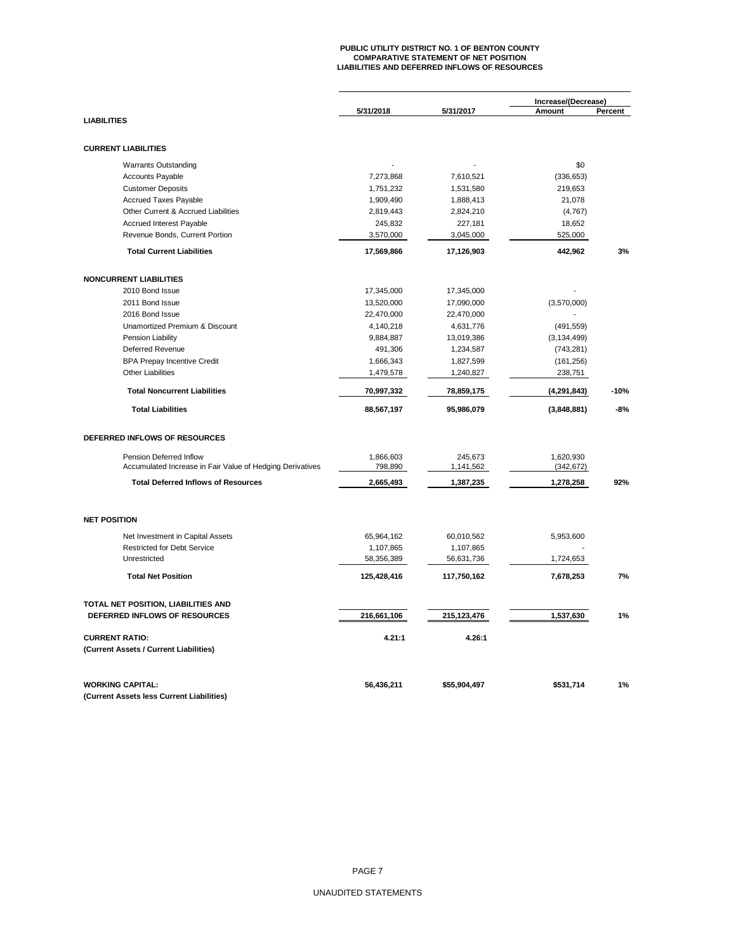# **PUBLIC UTILITY DISTRICT NO. 1 OF BENTON COUNTY COMPARATIVE STATEMENT OF NET POSITION LIABILITIES AND DEFERRED INFLOWS OF RESOURCES**

|                                                                        |                         |                         | Increase/(Decrease)<br>Amount<br>Percent |        |  |
|------------------------------------------------------------------------|-------------------------|-------------------------|------------------------------------------|--------|--|
| <b>LIABILITIES</b>                                                     | 5/31/2018               | 5/31/2017               |                                          |        |  |
|                                                                        |                         |                         |                                          |        |  |
| <b>CURRENT LIABILITIES</b>                                             |                         |                         |                                          |        |  |
| <b>Warrants Outstanding</b>                                            |                         |                         | \$0                                      |        |  |
| <b>Accounts Payable</b>                                                | 7,273,868               | 7,610,521               | (336, 653)                               |        |  |
| <b>Customer Deposits</b>                                               | 1,751,232               | 1,531,580               | 219,653                                  |        |  |
| <b>Accrued Taxes Payable</b>                                           | 1,909,490               | 1,888,413               | 21,078                                   |        |  |
| Other Current & Accrued Liabilities                                    | 2,819,443               | 2,824,210               | (4,767)                                  |        |  |
| Accrued Interest Payable                                               | 245,832                 | 227,181                 | 18,652                                   |        |  |
| Revenue Bonds, Current Portion                                         | 3,570,000               | 3,045,000               | 525,000                                  |        |  |
| <b>Total Current Liabilities</b>                                       | 17,569,866              | 17,126,903              | 442,962                                  | 3%     |  |
| <b>NONCURRENT LIABILITIES</b>                                          |                         |                         |                                          |        |  |
| 2010 Bond Issue                                                        | 17,345,000              | 17,345,000              |                                          |        |  |
| 2011 Bond Issue                                                        | 13,520,000              | 17,090,000              | (3,570,000)                              |        |  |
| 2016 Bond Issue                                                        | 22,470,000              | 22,470,000              |                                          |        |  |
| Unamortized Premium & Discount                                         | 4,140,218               | 4,631,776               | (491, 559)                               |        |  |
| Pension Liability                                                      | 9,884,887               | 13,019,386              | (3, 134, 499)                            |        |  |
| <b>Deferred Revenue</b>                                                | 491,306                 | 1,234,587               | (743, 281)                               |        |  |
| <b>BPA Prepay Incentive Credit</b>                                     | 1,666,343               | 1,827,599               | (161, 256)                               |        |  |
| <b>Other Liabilities</b>                                               | 1,479,578               | 1,240,827               | 238,751                                  |        |  |
| <b>Total Noncurrent Liabilities</b>                                    | 70,997,332              | 78,859,175              | (4, 291, 843)                            | $-10%$ |  |
| <b>Total Liabilities</b>                                               | 88,567,197              | 95,986,079              | (3,848,881)                              | $-8%$  |  |
|                                                                        |                         |                         |                                          |        |  |
| DEFERRED INFLOWS OF RESOURCES                                          |                         |                         |                                          |        |  |
| Pension Deferred Inflow                                                | 1,866,603               | 245,673                 | 1,620,930                                |        |  |
| Accumulated Increase in Fair Value of Hedging Derivatives              | 798,890                 | 1,141,562               | (342, 672)                               |        |  |
| <b>Total Deferred Inflows of Resources</b>                             | 2,665,493               | 1,387,235               | 1,278,258                                | 92%    |  |
| <b>NET POSITION</b>                                                    |                         |                         |                                          |        |  |
|                                                                        |                         |                         |                                          |        |  |
| Net Investment in Capital Assets<br><b>Restricted for Debt Service</b> | 65,964,162              | 60,010,562              | 5,953,600                                |        |  |
| Unrestricted                                                           | 1,107,865<br>58,356,389 | 1,107,865<br>56,631,736 | 1,724,653                                |        |  |
| <b>Total Net Position</b>                                              | 125,428,416             | 117,750,162             | 7,678,253                                | 7%     |  |
|                                                                        |                         |                         |                                          |        |  |
| TOTAL NET POSITION, LIABILITIES AND                                    |                         |                         |                                          |        |  |
| DEFERRED INFLOWS OF RESOURCES                                          | 216,661,106             | 215, 123, 476           | 1,537,630                                | 1%     |  |
| <b>CURRENT RATIO:</b>                                                  | 4.21:1                  | 4.26:1                  |                                          |        |  |
| (Current Assets / Current Liabilities)                                 |                         |                         |                                          |        |  |
| <b>WORKING CAPITAL:</b>                                                | 56,436,211              | \$55,904,497            | \$531,714                                | 1%     |  |
| (Current Assets less Current Liabilities)                              |                         |                         |                                          |        |  |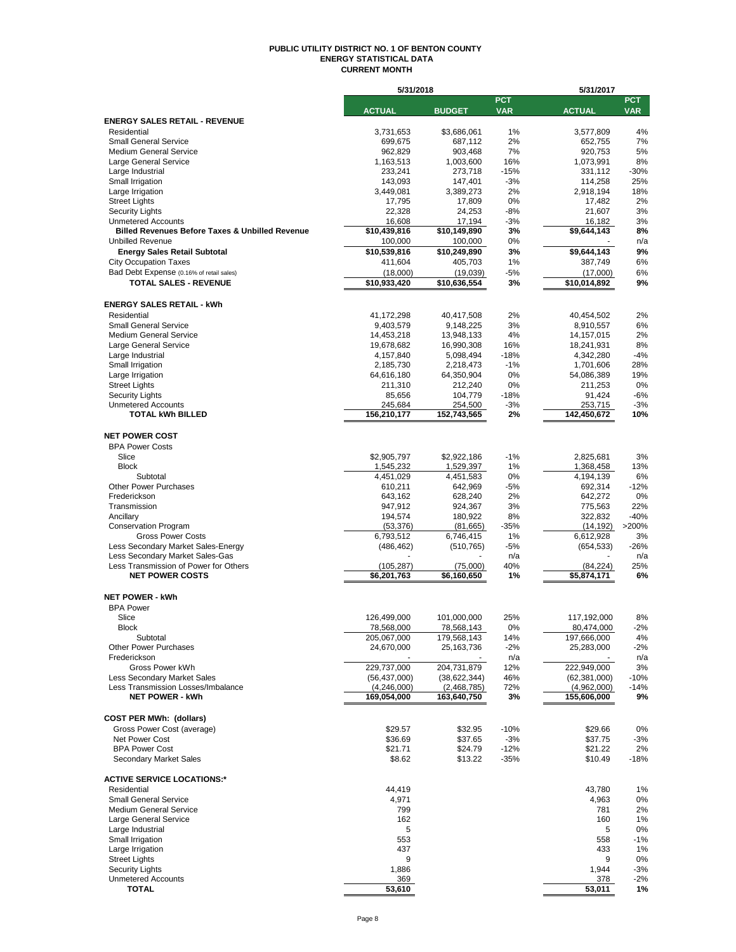#### **PUBLIC UTILITY DISTRICT NO. 1 OF BENTON COUNTY ENERGY STATISTICAL DATA CURRENT MONTH**

|                                                                 | 5/31/2018                 |                         |                          | 5/31/2017                |                          |
|-----------------------------------------------------------------|---------------------------|-------------------------|--------------------------|--------------------------|--------------------------|
|                                                                 | <b>ACTUAL</b>             | <b>BUDGET</b>           | <b>PCT</b><br><b>VAR</b> |                          | <b>PCT</b><br><b>VAR</b> |
| <b>ENERGY SALES RETAIL - REVENUE</b>                            |                           |                         |                          | <b>ACTUAL</b>            |                          |
| Residential                                                     | 3,731,653                 | \$3.686.061             | 1%                       | 3,577,809                | 4%                       |
| <b>Small General Service</b>                                    | 699,675                   | 687,112                 | 2%                       | 652,755                  | 7%                       |
| <b>Medium General Service</b>                                   | 962,829                   | 903,468                 | 7%                       | 920.753                  | 5%                       |
| Large General Service                                           | 1,163,513                 | 1,003,600               | 16%                      | 1,073,991                | 8%                       |
| Large Industrial                                                | 233,241                   | 273,718                 | $-15%$                   | 331,112                  | $-30%$                   |
| Small Irrigation                                                | 143,093                   | 147,401                 | $-3%$                    | 114,258                  | 25%                      |
| Large Irrigation                                                | 3,449,081                 | 3,389,273               | 2%                       | 2,918,194                | 18%                      |
| <b>Street Lights</b>                                            | 17,795                    | 17,809                  | 0%                       | 17,482                   | 2%                       |
| <b>Security Lights</b><br><b>Unmetered Accounts</b>             | 22,328<br>16,608          | 24,253<br>17,194        | $-8%$<br>$-3%$           | 21,607<br>16,182         | 3%<br>3%                 |
| <b>Billed Revenues Before Taxes &amp; Unbilled Revenue</b>      | \$10,439,816              | \$10,149,890            | 3%                       | \$9,644,143              | 8%                       |
| <b>Unbilled Revenue</b>                                         | 100,000                   | 100,000                 | 0%                       |                          | n/a                      |
| <b>Energy Sales Retail Subtotal</b>                             | \$10,539,816              | \$10,249,890            | 3%                       | \$9,644,143              | 9%                       |
| <b>City Occupation Taxes</b>                                    | 411,604                   | 405,703                 | 1%                       | 387,749                  | 6%                       |
| Bad Debt Expense (0.16% of retail sales)                        | (18,000)                  | (19,039)                | $-5%$                    | (17,000)                 | 6%                       |
| <b>TOTAL SALES - REVENUE</b>                                    | \$10,933,420              | \$10,636,554            | 3%                       | \$10,014,892             | 9%                       |
|                                                                 |                           |                         |                          |                          |                          |
| <b>ENERGY SALES RETAIL - kWh</b>                                |                           |                         |                          |                          |                          |
| Residential                                                     | 41,172,298                | 40,417,508              | 2%                       | 40,454,502               | 2%                       |
| <b>Small General Service</b>                                    | 9,403,579                 | 9,148,225               | 3%                       | 8,910,557                | 6%                       |
| <b>Medium General Service</b>                                   | 14,453,218                | 13,948,133              | 4%                       | 14, 157, 015             | 2%                       |
| Large General Service                                           | 19,678,682                | 16,990,308              | 16%                      | 18,241,931               | 8%                       |
| Large Industrial                                                | 4,157,840                 | 5,098,494               | $-18%$                   | 4,342,280                | $-4%$                    |
| Small Irrigation                                                | 2,185,730                 | 2,218,473               | $-1%$                    | 1,701,606                | 28%                      |
| Large Irrigation                                                | 64,616,180                | 64,350,904              | 0%                       | 54,086,389               | 19%                      |
| <b>Street Lights</b>                                            | 211,310                   | 212,240                 | 0%                       | 211,253                  | 0%                       |
| <b>Security Lights</b>                                          | 85,656                    | 104,779                 | $-18%$                   | 91,424                   | $-6%$                    |
| <b>Unmetered Accounts</b>                                       | 245,684                   | 254,500                 | $-3%$                    | 253,715                  | $-3%$                    |
| <b>TOTAL kWh BILLED</b>                                         | 156,210,177               | 152,743,565             | 2%                       | 142,450,672              | 10%                      |
| <b>NET POWER COST</b>                                           |                           |                         |                          |                          |                          |
| <b>BPA Power Costs</b>                                          |                           |                         |                          |                          |                          |
| Slice                                                           | \$2,905,797               | \$2,922,186             | $-1%$                    | 2,825,681                | 3%                       |
| <b>Block</b>                                                    | 1,545,232                 | 1,529,397               | 1%                       | 1,368,458                | 13%                      |
| Subtotal                                                        | 4,451,029                 | 4,451,583               | 0%                       | 4,194,139                | 6%                       |
| <b>Other Power Purchases</b>                                    | 610,211                   | 642,969                 | $-5%$                    | 692,314                  | $-12%$                   |
| Frederickson                                                    | 643,162                   | 628,240                 | 2%                       | 642,272                  | 0%                       |
| Transmission                                                    | 947,912                   | 924,367                 | 3%                       | 775,563                  | 22%                      |
| Ancillary                                                       | 194,574                   | 180,922                 | 8%                       | 322,832                  | $-40%$                   |
| <b>Conservation Program</b>                                     | (53, 376)                 | (81,665)                | $-35%$                   | (14, 192)                | >200%                    |
| <b>Gross Power Costs</b>                                        | 6,793,512                 | 6,746,415               | 1%                       | 6,612,928                | 3%                       |
| Less Secondary Market Sales-Energy                              | (486, 462)                | (510, 765)              | $-5%$                    | (654, 533)               | $-26%$                   |
| Less Secondary Market Sales-Gas                                 |                           |                         | n/a                      |                          | n/a                      |
| Less Transmission of Power for Others<br><b>NET POWER COSTS</b> | (105, 287)<br>\$6,201,763 | (75,000)<br>\$6.160.650 | 40%                      | (84, 224)<br>\$5.874.171 | 25%<br>6%                |
|                                                                 |                           |                         | 1%                       |                          |                          |
| <b>NET POWER - kWh</b>                                          |                           |                         |                          |                          |                          |
| <b>BPA Power</b>                                                |                           |                         |                          |                          |                          |
| Slice                                                           | 126,499,000               | 101,000,000             | 25%                      | 117,192,000              | 8%                       |
| <b>Block</b>                                                    | 78,568,000                | 78,568,143              | 0%                       | 80,474,000               | -2%                      |
| Subtotal                                                        | 205,067,000               | 179,568,143             | 14%                      | 197,666,000              | 4%                       |
| <b>Other Power Purchases</b>                                    | 24,670,000                | 25, 163, 736            | $-2%$                    | 25,283,000               | $-2%$                    |
| Frederickson                                                    |                           |                         | n/a                      |                          | n/a                      |
| Gross Power kWh                                                 | 229,737,000               | 204,731,879             | 12%                      | 222,949,000              | 3%                       |
| Less Secondary Market Sales                                     | (56, 437, 000)            | (38, 622, 344)          | 46%                      | (62, 381, 000)           | -10%                     |
| Less Transmission Losses/Imbalance                              | (4,246,000)               | (2,468,785)             | 72%                      | (4,962,000)              | $-14%$                   |
| <b>NET POWER - kWh</b>                                          | 169,054,000               | 163,640,750             | 3%                       | 155,606,000              | 9%                       |
|                                                                 |                           |                         |                          |                          |                          |
| <b>COST PER MWh: (dollars)</b>                                  |                           |                         |                          |                          |                          |
| Gross Power Cost (average)                                      | \$29.57                   | \$32.95                 | $-10%$                   | \$29.66                  | 0%                       |
| Net Power Cost                                                  | \$36.69                   | \$37.65                 | $-3%$                    | \$37.75                  | -3%                      |
| <b>BPA Power Cost</b><br><b>Secondary Market Sales</b>          | \$21.71<br>\$8.62         | \$24.79<br>\$13.22      | $-12%$<br>$-35%$         | \$21.22<br>\$10.49       | 2%<br>-18%               |
|                                                                 |                           |                         |                          |                          |                          |
| <b>ACTIVE SERVICE LOCATIONS:*</b>                               |                           |                         |                          |                          |                          |
| Residential                                                     | 44,419                    |                         |                          | 43,780                   | 1%                       |
| <b>Small General Service</b>                                    | 4,971                     |                         |                          | 4,963                    | 0%                       |
| <b>Medium General Service</b>                                   | 799                       |                         |                          | 781                      | 2%                       |
| Large General Service                                           | 162                       |                         |                          | 160                      | 1%                       |
| Large Industrial                                                | 5                         |                         |                          | 5                        | 0%                       |
| Small Irrigation                                                | 553                       |                         |                          | 558                      | -1%                      |
| Large Irrigation                                                | 437                       |                         |                          | 433                      | 1%                       |
| <b>Street Lights</b>                                            | 9                         |                         |                          | 9                        | 0%                       |
| <b>Security Lights</b>                                          | 1,886                     |                         |                          | 1,944                    | $-3%$                    |
| <b>Unmetered Accounts</b><br><b>TOTAL</b>                       | 369<br>53,610             |                         |                          | 378<br>53,011            | -2%<br>1%                |
|                                                                 |                           |                         |                          |                          |                          |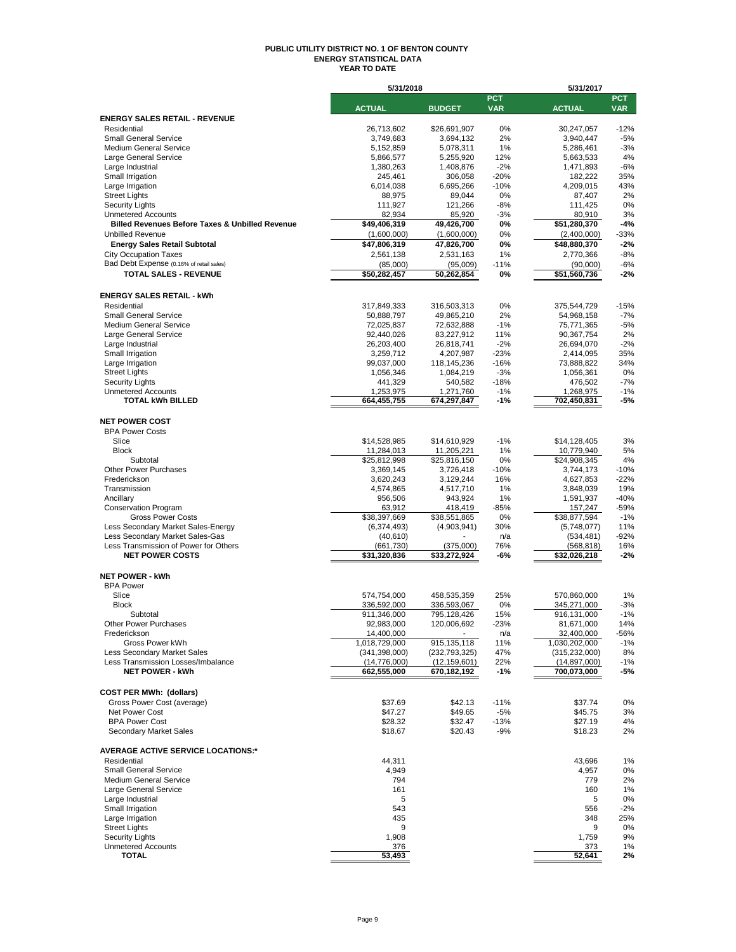#### **PUBLIC UTILITY DISTRICT NO. 1 OF BENTON COUNTY ENERGY STATISTICAL DATA YEAR TO DATE**

|                                                               | 5/31/2018                   |                      |                 | 5/31/2017                   |                 |  |
|---------------------------------------------------------------|-----------------------------|----------------------|-----------------|-----------------------------|-----------------|--|
|                                                               | <b>ACTUAL</b>               |                      | <b>PCT</b>      |                             | <b>PCT</b>      |  |
|                                                               |                             | <b>BUDGET</b>        | <b>VAR</b>      | <b>ACTUAL</b>               | <b>VAR</b>      |  |
| <b>ENERGY SALES RETAIL - REVENUE</b><br>Residential           | 26,713,602                  | \$26,691,907         | 0%              | 30,247,057                  | $-12%$          |  |
| <b>Small General Service</b>                                  | 3,749,683                   | 3,694,132            | 2%              | 3,940,447                   | $-5%$           |  |
| <b>Medium General Service</b>                                 | 5,152,859                   | 5,078,311            | 1%              | 5,286,461                   | $-3%$           |  |
| Large General Service                                         | 5,866,577                   | 5,255,920            | 12%             | 5,663,533                   | 4%              |  |
| Large Industrial                                              | 1,380,263                   | 1,408,876            | $-2%$           | 1,471,893                   | $-6%$           |  |
| Small Irrigation                                              | 245,461                     | 306,058              | $-20%$          | 182,222                     | 35%             |  |
| Large Irrigation                                              | 6,014,038                   | 6,695,266            | $-10%$          | 4,209,015                   | 43%             |  |
| <b>Street Lights</b>                                          | 88,975                      | 89,044               | 0%              | 87,407                      | 2%              |  |
| <b>Security Lights</b><br><b>Unmetered Accounts</b>           | 111,927<br>82,934           | 121,266<br>85,920    | $-8%$<br>$-3%$  | 111,425<br>80,910           | 0%<br>3%        |  |
| <b>Billed Revenues Before Taxes &amp; Unbilled Revenue</b>    | \$49,406,319                | 49,426,700           | 0%              | \$51,280,370                | $-4%$           |  |
| <b>Unbilled Revenue</b>                                       | (1,600,000)                 | (1,600,000)          | 0%              | (2,400,000)                 | $-33%$          |  |
| <b>Energy Sales Retail Subtotal</b>                           | \$47,806,319                | 47,826,700           | 0%              | \$48,880,370                | $-2%$           |  |
| <b>City Occupation Taxes</b>                                  | 2,561,138                   | 2,531,163            | 1%              | 2,770,366                   | $-8%$           |  |
| Bad Debt Expense (0.16% of retail sales)                      | (85,000)                    | (95,009)             | $-11%$          | (90,000)                    | $-6%$           |  |
| <b>TOTAL SALES - REVENUE</b>                                  | \$50,282,457                | 50,262,854           | 0%              | \$51,560,736                | $-2%$           |  |
|                                                               |                             |                      |                 |                             |                 |  |
| <b>ENERGY SALES RETAIL - kWh</b>                              |                             |                      |                 |                             |                 |  |
| Residential                                                   | 317,849,333                 | 316,503,313          | 0%              | 375,544,729                 | $-15%$          |  |
| <b>Small General Service</b>                                  | 50,888,797                  | 49,865,210           | 2%              | 54,968,158                  | $-7%$           |  |
| <b>Medium General Service</b>                                 | 72,025,837                  | 72,632,888           | $-1%$           | 75,771,365                  | $-5%$           |  |
| Large General Service                                         | 92,440,026                  | 83,227,912           | 11%             | 90,367,754                  | 2%              |  |
| Large Industrial                                              | 26,203,400                  | 26,818,741           | $-2%$           | 26,694,070                  | $-2%$           |  |
| Small Irrigation                                              | 3,259,712                   | 4,207,987            | $-23%$          | 2,414,095                   | 35%             |  |
| Large Irrigation                                              | 99,037,000                  | 118,145,236          | $-16%$          | 73,888,822                  | 34%             |  |
| <b>Street Lights</b>                                          | 1,056,346                   | 1,084,219            | $-3%$           | 1,056,361                   | 0%              |  |
| <b>Security Lights</b><br><b>Unmetered Accounts</b>           | 441,329<br>1,253,975        | 540,582<br>1,271,760 | $-18%$<br>$-1%$ | 476,502<br>1,268,975        | $-7%$<br>$-1%$  |  |
| <b>TOTAL kWh BILLED</b>                                       | 664,455,755                 | 674,297,847          | $-1%$           | 702,450,831                 | $-5%$           |  |
|                                                               |                             |                      |                 |                             |                 |  |
| <b>NET POWER COST</b>                                         |                             |                      |                 |                             |                 |  |
| <b>BPA Power Costs</b>                                        |                             |                      |                 |                             |                 |  |
| Slice                                                         | \$14,528,985                | \$14,610,929         | $-1%$           | \$14,128,405                | 3%              |  |
| <b>Block</b>                                                  | 11,284,013                  | 11,205,221           | 1%              | 10,779,940                  | 5%              |  |
| Subtotal                                                      | \$25,812,998                | \$25,816,150         | 0%              | \$24,908,345                | 4%              |  |
| <b>Other Power Purchases</b>                                  | 3,369,145                   | 3,726,418            | $-10%$          | 3,744,173                   | $-10%$          |  |
| Frederickson                                                  | 3,620,243                   | 3,129,244            | 16%             | 4,627,853                   | $-22%$          |  |
| Transmission                                                  | 4,574,865                   | 4,517,710            | 1%              | 3,848,039                   | 19%             |  |
| Ancillary                                                     | 956,506                     | 943,924              | 1%              | 1,591,937                   | $-40%$          |  |
| <b>Conservation Program</b><br><b>Gross Power Costs</b>       | 63,912                      | 418,419              | $-85%$<br>0%    | 157,247                     | $-59%$<br>$-1%$ |  |
| Less Secondary Market Sales-Energy                            | \$38,397,669                | \$38,551,865         | 30%             | \$38,877,594                | 11%             |  |
| Less Secondary Market Sales-Gas                               | (6,374,493)<br>(40, 610)    | (4,903,941)          | n/a             | (5,748,077)<br>(534, 481)   | $-92%$          |  |
| Less Transmission of Power for Others                         | (661, 730)                  | (375,000)            | 76%             | (568, 818)                  | 16%             |  |
| <b>NET POWER COSTS</b>                                        | \$31,320,836                | \$33,272,924         | -6%             | \$32,026,218                | $-2%$           |  |
|                                                               |                             |                      |                 |                             |                 |  |
| <b>NET POWER - kWh</b>                                        |                             |                      |                 |                             |                 |  |
| <b>BPA Power</b>                                              |                             |                      |                 |                             |                 |  |
| Slice                                                         | 574,754,000                 | 458,535,359          | 25%             | 570,860,000                 | 1%              |  |
| <b>Block</b>                                                  | 336,592,000                 | 336,593,067          | 0%              | 345,271,000                 | $-3%$           |  |
| Subtotal                                                      | 911,346,000                 | 795,128,426          | 15%             | 916.131.000                 | $-1%$           |  |
| Other Power Purchases                                         | 92,983,000                  | 120,006,692          | $-23%$          | 81,671,000                  | 14%             |  |
| Frederickson<br>Gross Power kWh                               | 14,400,000<br>1,018,729,000 | 915, 135, 118        | n/a<br>11%      | 32,400,000<br>1,030,202,000 | -56%<br>$-1%$   |  |
| Less Secondary Market Sales                                   | (341, 398, 000)             | (232, 793, 325)      | 47%             | (315, 232, 000)             | 8%              |  |
| Less Transmission Losses/Imbalance                            | (14, 776, 000)              | (12, 159, 601)       | 22%             | (14, 897, 000)              | $-1%$           |  |
| <b>NET POWER - kWh</b>                                        | 662,555,000                 | 670,182,192          | $-1%$           | 700,073,000                 | -5%             |  |
|                                                               |                             |                      |                 |                             |                 |  |
| <b>COST PER MWh: (dollars)</b>                                |                             |                      |                 |                             |                 |  |
| Gross Power Cost (average)                                    | \$37.69                     | \$42.13              | $-11%$          | \$37.74                     | 0%              |  |
| Net Power Cost                                                | \$47.27                     | \$49.65              | $-5%$           | \$45.75                     | 3%              |  |
| <b>BPA Power Cost</b>                                         | \$28.32                     | \$32.47              | $-13%$          | \$27.19                     | 4%              |  |
| <b>Secondary Market Sales</b>                                 | \$18.67                     | \$20.43              | $-9%$           | \$18.23                     | 2%              |  |
|                                                               |                             |                      |                 |                             |                 |  |
| <b>AVERAGE ACTIVE SERVICE LOCATIONS:*</b>                     |                             |                      |                 |                             |                 |  |
| Residential                                                   | 44,311                      |                      |                 | 43.696                      | 1%              |  |
| <b>Small General Service</b><br><b>Medium General Service</b> | 4,949<br>794                |                      |                 | 4,957<br>779                | 0%<br>2%        |  |
| Large General Service                                         | 161                         |                      |                 | 160                         | 1%              |  |
| Large Industrial                                              | 5                           |                      |                 | 5                           | 0%              |  |
| Small Irrigation                                              | 543                         |                      |                 | 556                         | $-2%$           |  |
| Large Irrigation                                              | 435                         |                      |                 | 348                         | 25%             |  |
| <b>Street Lights</b>                                          | 9                           |                      |                 | 9                           | 0%              |  |
| <b>Security Lights</b>                                        | 1,908                       |                      |                 | 1,759                       | 9%              |  |
| <b>Unmetered Accounts</b>                                     | 376                         |                      |                 | 373                         | 1%              |  |
| <b>TOTAL</b>                                                  | 53,493                      |                      |                 | 52,641                      | 2%              |  |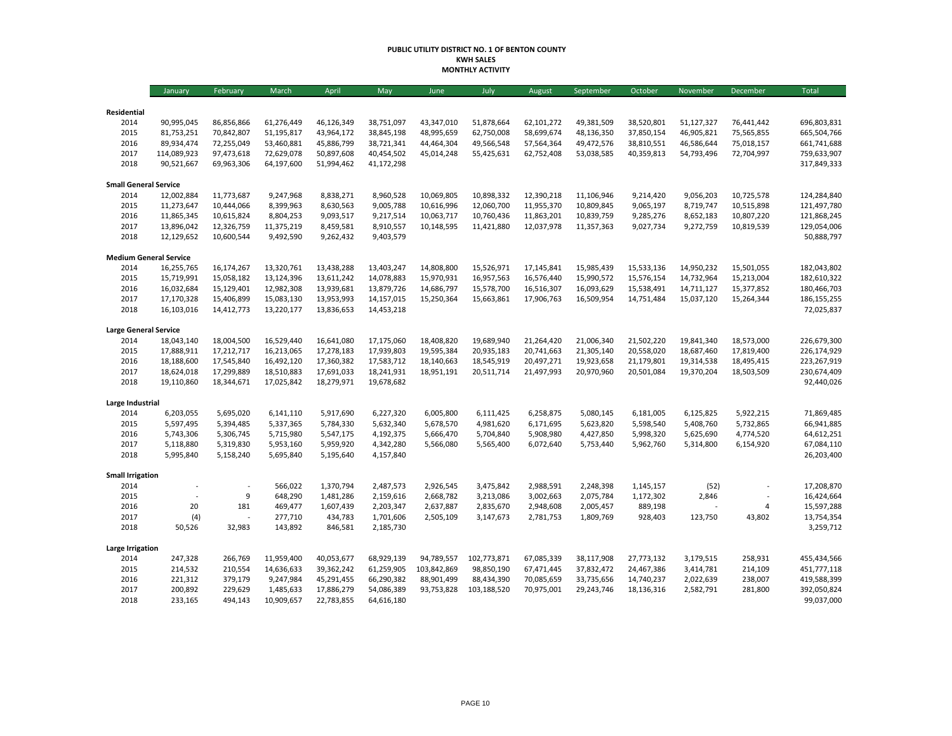#### **PUBLIC UTILITY DISTRICT NO. 1 OF BENTON COUNTY KWH SALES MONTHLY ACTIVITY**

|                               | January                  | February                 | March                    | April                    | May                      | June                     | July                     | August                   | September                | October                  | November                 | December                 | Total                      |
|-------------------------------|--------------------------|--------------------------|--------------------------|--------------------------|--------------------------|--------------------------|--------------------------|--------------------------|--------------------------|--------------------------|--------------------------|--------------------------|----------------------------|
|                               |                          |                          |                          |                          |                          |                          |                          |                          |                          |                          |                          |                          |                            |
| Residential                   |                          |                          |                          |                          |                          |                          |                          |                          |                          |                          |                          |                          |                            |
| 2014<br>2015                  | 90,995,045<br>81,753,251 | 86,856,866<br>70,842,807 | 61,276,449<br>51,195,817 | 46,126,349<br>43,964,172 | 38,751,097<br>38,845,198 | 43,347,010<br>48,995,659 | 51,878,664<br>62,750,008 | 62,101,272<br>58,699,674 | 49,381,509<br>48,136,350 | 38,520,801<br>37,850,154 | 51,127,327<br>46,905,821 | 76,441,442<br>75,565,855 | 696,803,831<br>665,504,766 |
| 2016                          | 89,934,474               | 72,255,049               | 53,460,881               | 45,886,799               | 38,721,341               | 44,464,304               | 49,566,548               | 57,564,364               | 49,472,576               | 38,810,551               | 46,586,644               | 75,018,157               | 661,741,688                |
| 2017                          | 114,089,923              | 97,473,618               | 72,629,078               | 50,897,608               | 40,454,502               | 45,014,248               | 55,425,631               | 62,752,408               | 53,038,585               | 40,359,813               | 54,793,496               | 72,704,997               | 759,633,907                |
| 2018                          | 90,521,667               | 69,963,306               | 64,197,600               | 51,994,462               | 41,172,298               |                          |                          |                          |                          |                          |                          |                          | 317,849,333                |
| <b>Small General Service</b>  |                          |                          |                          |                          |                          |                          |                          |                          |                          |                          |                          |                          |                            |
| 2014                          | 12,002,884               | 11,773,687               | 9,247,968                | 8,838,271                | 8,960,528                | 10,069,805               | 10,898,332               | 12,390,218               | 11,106,946               | 9,214,420                | 9,056,203                | 10,725,578               | 124,284,840                |
| 2015                          | 11,273,647               | 10,444,066               | 8,399,963                | 8,630,563                | 9,005,788                | 10,616,996               | 12,060,700               | 11,955,370               | 10,809,845               | 9,065,197                | 8,719,747                | 10,515,898               | 121,497,780                |
| 2016                          | 11,865,345               | 10,615,824               | 8,804,253                | 9,093,517                | 9,217,514                | 10,063,717               | 10,760,436               | 11,863,201               | 10,839,759               | 9,285,276                | 8,652,183                | 10,807,220               | 121,868,245                |
| 2017                          | 13,896,042               | 12,326,759               | 11,375,219               | 8,459,581                | 8,910,557                | 10,148,595               | 11,421,880               | 12,037,978               | 11,357,363               | 9,027,734                | 9,272,759                | 10,819,539               | 129,054,006                |
| 2018                          | 12,129,652               | 10,600,544               | 9,492,590                | 9,262,432                | 9,403,579                |                          |                          |                          |                          |                          |                          |                          | 50,888,797                 |
| <b>Medium General Service</b> |                          |                          |                          |                          |                          |                          |                          |                          |                          |                          |                          |                          |                            |
| 2014                          | 16,255,765               | 16,174,267               | 13,320,761               | 13,438,288               | 13,403,247               | 14,808,800               | 15,526,971               | 17,145,841               | 15,985,439               | 15,533,136               | 14,950,232               | 15,501,055               | 182,043,802                |
| 2015                          | 15,719,991               | 15,058,182               | 13,124,396               | 13,611,242               | 14,078,883               | 15,970,931               | 16,957,563               | 16,576,440               | 15,990,572               | 15,576,154               | 14,732,964               | 15,213,004               | 182,610,322                |
| 2016                          | 16,032,684               | 15,129,401               | 12,982,308               | 13,939,681               | 13,879,726               | 14,686,797               | 15,578,700               | 16,516,307               | 16,093,629               | 15,538,491               | 14,711,127               | 15,377,852               | 180,466,703                |
| 2017                          | 17,170,328               | 15,406,899               | 15,083,130               | 13,953,993               | 14,157,015               | 15,250,364               | 15,663,861               | 17,906,763               | 16,509,954               | 14,751,484               | 15,037,120               | 15,264,344               | 186, 155, 255              |
| 2018                          | 16,103,016               | 14,412,773               | 13,220,177               | 13,836,653               | 14,453,218               |                          |                          |                          |                          |                          |                          |                          | 72,025,837                 |
| <b>Large General Service</b>  |                          |                          |                          |                          |                          |                          |                          |                          |                          |                          |                          |                          |                            |
| 2014                          | 18,043,140               | 18,004,500               | 16,529,440               | 16,641,080               | 17,175,060               | 18,408,820               | 19,689,940               | 21,264,420               | 21,006,340               | 21,502,220               | 19,841,340               | 18,573,000               | 226,679,300                |
| 2015                          | 17,888,911               | 17,212,717               | 16,213,065               | 17,278,183               | 17,939,803               | 19,595,384               | 20,935,183               | 20,741,663               | 21,305,140               | 20,558,020               | 18,687,460               | 17,819,400               | 226,174,929                |
| 2016                          | 18,188,600               | 17,545,840               | 16,492,120               | 17,360,382               | 17,583,712               | 18,140,663               | 18,545,919               | 20,497,271               | 19,923,658               | 21,179,801               | 19,314,538               | 18,495,415               | 223,267,919                |
| 2017                          | 18,624,018               | 17,299,889               | 18,510,883               | 17,691,033               | 18,241,931               | 18,951,191               | 20,511,714               | 21,497,993               | 20,970,960               | 20,501,084               | 19,370,204               | 18,503,509               | 230,674,409                |
| 2018                          | 19,110,860               | 18,344,671               | 17,025,842               | 18,279,971               | 19,678,682               |                          |                          |                          |                          |                          |                          |                          | 92,440,026                 |
| Large Industrial              |                          |                          |                          |                          |                          |                          |                          |                          |                          |                          |                          |                          |                            |
| 2014                          | 6,203,055                | 5,695,020                | 6,141,110                | 5,917,690                | 6,227,320                | 6,005,800                | 6,111,425                | 6,258,875                | 5,080,145                | 6,181,005                | 6,125,825                | 5,922,215                | 71,869,485                 |
| 2015                          | 5,597,495                | 5,394,485                | 5,337,365                | 5,784,330                | 5,632,340                | 5,678,570                | 4,981,620                | 6,171,695                | 5,623,820                | 5,598,540                | 5,408,760                | 5,732,865                | 66,941,885                 |
| 2016                          | 5,743,306                | 5,306,745                | 5,715,980                | 5,547,175                | 4,192,375                | 5,666,470                | 5,704,840                | 5,908,980                | 4,427,850                | 5,998,320                | 5,625,690                | 4,774,520                | 64,612,251                 |
| 2017                          | 5,118,880                | 5,319,830                | 5,953,160                | 5,959,920                | 4,342,280                | 5,566,080                | 5,565,400                | 6,072,640                | 5,753,440                | 5,962,760                | 5,314,800                | 6,154,920                | 67,084,110                 |
| 2018                          | 5,995,840                | 5,158,240                | 5,695,840                | 5,195,640                | 4,157,840                |                          |                          |                          |                          |                          |                          |                          | 26,203,400                 |
| <b>Small Irrigation</b>       |                          |                          |                          |                          |                          |                          |                          |                          |                          |                          |                          |                          |                            |
| 2014                          |                          |                          | 566,022                  | 1,370,794                | 2,487,573                | 2,926,545                | 3,475,842                | 2,988,591                | 2,248,398                | 1,145,157                | (52)                     |                          | 17,208,870                 |
| 2015                          | $\overline{a}$           | 9                        | 648,290                  | 1,481,286                | 2,159,616                | 2,668,782                | 3,213,086                | 3,002,663                | 2,075,784                | 1,172,302                | 2,846                    |                          | 16,424,664                 |
| 2016                          | 20                       | 181                      | 469,477                  | 1,607,439                | 2,203,347                | 2,637,887                | 2,835,670                | 2,948,608                | 2,005,457                | 889,198                  |                          | $\overline{4}$           | 15,597,288                 |
| 2017                          | (4)                      |                          | 277,710                  | 434,783                  | 1,701,606                | 2,505,109                | 3,147,673                | 2,781,753                | 1,809,769                | 928,403                  | 123,750                  | 43,802                   | 13,754,354                 |
| 2018                          | 50,526                   | 32,983                   | 143,892                  | 846,581                  | 2,185,730                |                          |                          |                          |                          |                          |                          |                          | 3,259,712                  |
| Large Irrigation              |                          |                          |                          |                          |                          |                          |                          |                          |                          |                          |                          |                          |                            |
| 2014                          | 247,328                  | 266,769                  | 11,959,400               | 40,053,677               | 68,929,139               | 94,789,557               | 102,773,871              | 67,085,339               | 38,117,908               | 27,773,132               | 3,179,515                | 258,931                  | 455,434,566                |
| 2015                          | 214,532                  | 210,554                  | 14,636,633               | 39,362,242               | 61,259,905               | 103,842,869              | 98,850,190               | 67,471,445               | 37,832,472               | 24,467,386               | 3,414,781                | 214,109                  | 451,777,118                |
| 2016                          | 221,312                  | 379,179                  | 9,247,984                | 45,291,455               | 66,290,382               | 88,901,499               | 88,434,390               | 70,085,659               | 33,735,656               | 14,740,237               | 2,022,639                | 238,007                  | 419,588,399                |
| 2017                          | 200,892                  | 229,629                  | 1,485,633                | 17,886,279               | 54,086,389               | 93,753,828               | 103,188,520              | 70,975,001               | 29,243,746               | 18,136,316               | 2,582,791                | 281,800                  | 392,050,824                |
| 2018                          | 233,165                  | 494,143                  | 10,909,657               | 22,783,855               | 64,616,180               |                          |                          |                          |                          |                          |                          |                          | 99,037,000                 |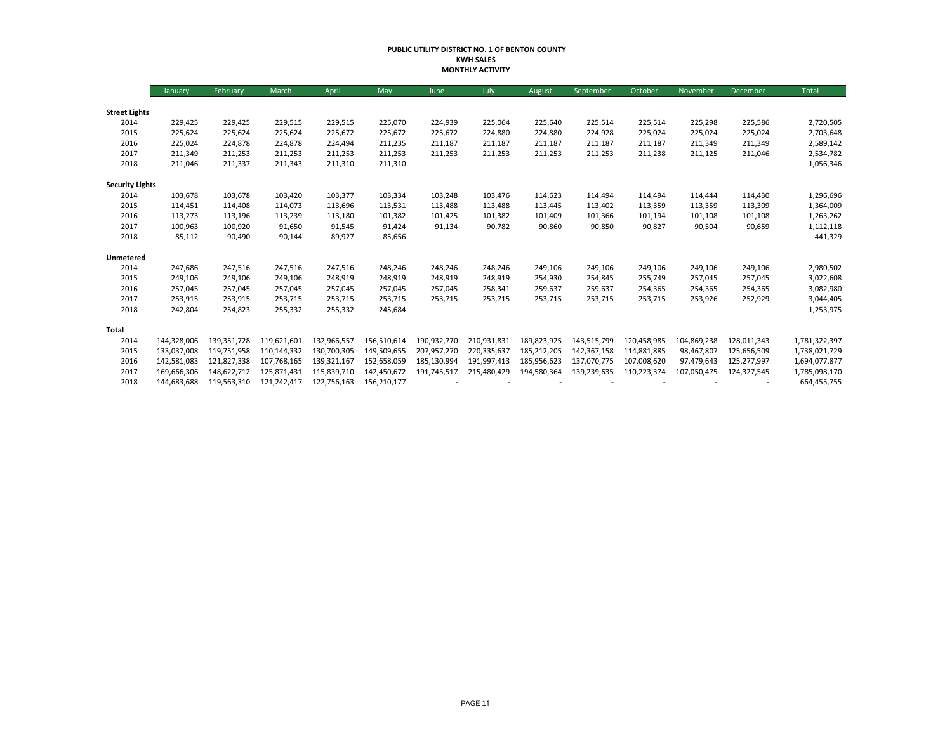#### **PUBLIC UTILITY DISTRICT NO. 1 OF BENTON COUNTY KWH SALES MONTHLY ACTIVITY**

|                        | January     | February    | March       | April       | May         | June        | July        | August      | September   | October     | November    | December    | Total         |
|------------------------|-------------|-------------|-------------|-------------|-------------|-------------|-------------|-------------|-------------|-------------|-------------|-------------|---------------|
|                        |             |             |             |             |             |             |             |             |             |             |             |             |               |
| <b>Street Lights</b>   |             |             |             |             |             |             |             |             |             |             |             |             |               |
| 2014                   | 229,425     | 229,425     | 229,515     | 229,515     | 225,070     | 224,939     | 225,064     | 225,640     | 225,514     | 225,514     | 225,298     | 225,586     | 2,720,505     |
| 2015                   | 225,624     | 225,624     | 225,624     | 225,672     | 225,672     | 225,672     | 224,880     | 224,880     | 224,928     | 225,024     | 225,024     | 225,024     | 2,703,648     |
| 2016                   | 225,024     | 224,878     | 224,878     | 224,494     | 211,235     | 211,187     | 211,187     | 211,187     | 211,187     | 211,187     | 211,349     | 211,349     | 2,589,142     |
| 2017                   | 211,349     | 211,253     | 211,253     | 211,253     | 211,253     | 211,253     | 211,253     | 211,253     | 211,253     | 211,238     | 211,125     | 211,046     | 2,534,782     |
| 2018                   | 211,046     | 211,337     | 211,343     | 211,310     | 211,310     |             |             |             |             |             |             |             | 1,056,346     |
| <b>Security Lights</b> |             |             |             |             |             |             |             |             |             |             |             |             |               |
| 2014                   | 103,678     | 103,678     | 103,420     | 103,377     | 103,334     | 103,248     | 103,476     | 114,623     | 114,494     | 114,494     | 114,444     | 114,430     | 1,296,696     |
| 2015                   | 114,451     | 114,408     | 114,073     | 113,696     | 113,531     | 113,488     | 113,488     | 113,445     | 113,402     | 113,359     | 113,359     | 113,309     | 1,364,009     |
| 2016                   | 113,273     | 113,196     | 113,239     | 113,180     | 101,382     | 101,425     | 101,382     | 101,409     | 101,366     | 101,194     | 101,108     | 101,108     | 1,263,262     |
| 2017                   | 100,963     | 100,920     | 91,650      | 91,545      | 91,424      | 91,134      | 90,782      | 90,860      | 90,850      | 90,827      | 90,504      | 90,659      | 1,112,118     |
| 2018                   | 85,112      | 90,490      | 90,144      | 89,927      | 85,656      |             |             |             |             |             |             |             | 441,329       |
| Unmetered              |             |             |             |             |             |             |             |             |             |             |             |             |               |
| 2014                   | 247,686     | 247,516     | 247,516     | 247,516     | 248,246     | 248,246     | 248,246     | 249,106     | 249,106     | 249,106     | 249,106     | 249,106     | 2,980,502     |
| 2015                   | 249,106     | 249,106     | 249,106     | 248,919     | 248,919     | 248,919     | 248,919     | 254,930     | 254,845     | 255,749     | 257,045     | 257,045     | 3,022,608     |
| 2016                   | 257,045     | 257,045     | 257,045     | 257,045     | 257,045     | 257,045     | 258,341     | 259,637     | 259,637     | 254,365     | 254,365     | 254,365     | 3,082,980     |
| 2017                   | 253,915     | 253,915     | 253,715     | 253,715     | 253,715     | 253,715     | 253,715     | 253,715     | 253,715     | 253,715     | 253,926     | 252,929     | 3,044,405     |
| 2018                   | 242,804     | 254,823     | 255,332     | 255,332     | 245,684     |             |             |             |             |             |             |             | 1,253,975     |
| Total                  |             |             |             |             |             |             |             |             |             |             |             |             |               |
| 2014                   | 144,328,006 | 139,351,728 | 119,621,601 | 132,966,557 | 156,510,614 | 190,932,770 | 210,931,831 | 189,823,925 | 143,515,799 | 120,458,985 | 104,869,238 | 128,011,343 | 1,781,322,397 |
| 2015                   | 133,037,008 | 119,751,958 | 110.144.332 | 130,700,305 | 149,509,655 | 207,957,270 | 220,335,637 | 185,212,205 | 142,367,158 | 114,881,885 | 98,467,807  | 125,656,509 | 1,738,021,729 |
| 2016                   | 142,581,083 | 121,827,338 | 107,768,165 | 139,321,167 | 152,658,059 | 185,130,994 | 191,997,413 | 185,956,623 | 137,070,775 | 107,008,620 | 97,479,643  | 125,277,997 | 1,694,077,877 |
| 2017                   | 169,666,306 | 148,622,712 | 125,871,431 | 115.839.710 | 142,450,672 | 191,745,517 | 215,480,429 | 194,580,364 | 139,239,635 | 110,223,374 | 107,050,475 | 124,327,545 | 1,785,098,170 |
| 2018                   | 144,683,688 | 119,563,310 | 121,242,417 | 122,756,163 | 156,210,177 |             |             |             |             |             |             |             | 664,455,755   |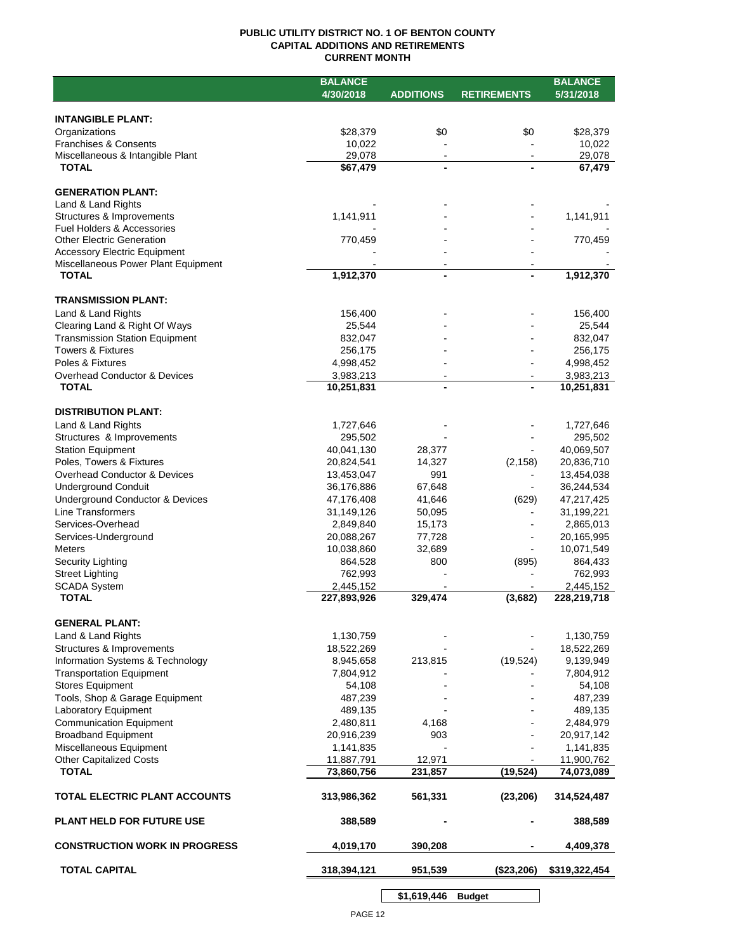## **PUBLIC UTILITY DISTRICT NO. 1 OF BENTON COUNTY CAPITAL ADDITIONS AND RETIREMENTS CURRENT MONTH**

|                                                                        | <b>BALANCE</b>           |                          |                    | <b>BALANCE</b>           |
|------------------------------------------------------------------------|--------------------------|--------------------------|--------------------|--------------------------|
|                                                                        | 4/30/2018                | <b>ADDITIONS</b>         | <b>RETIREMENTS</b> | 5/31/2018                |
|                                                                        |                          |                          |                    |                          |
| <b>INTANGIBLE PLANT:</b>                                               |                          |                          |                    |                          |
| Organizations                                                          | \$28,379                 | \$0                      | \$0                | \$28,379                 |
| <b>Franchises &amp; Consents</b>                                       | 10,022                   |                          |                    | 10,022                   |
| Miscellaneous & Intangible Plant                                       | 29,078                   | $\blacksquare$           | $\blacksquare$     | 29,078                   |
| <b>TOTAL</b>                                                           | \$67,479                 |                          |                    | 67,479                   |
| <b>GENERATION PLANT:</b>                                               |                          |                          |                    |                          |
| Land & Land Rights                                                     |                          |                          |                    |                          |
| Structures & Improvements                                              | 1,141,911                |                          |                    | 1,141,911                |
| Fuel Holders & Accessories                                             |                          |                          |                    |                          |
| <b>Other Electric Generation</b>                                       | 770,459                  |                          |                    | 770,459                  |
| <b>Accessory Electric Equipment</b>                                    |                          |                          |                    |                          |
| Miscellaneous Power Plant Equipment                                    |                          | $\overline{\phantom{a}}$ |                    |                          |
| <b>TOTAL</b>                                                           | 1,912,370                | $\blacksquare$           |                    | 1,912,370                |
|                                                                        |                          |                          |                    |                          |
| <b>TRANSMISSION PLANT:</b><br>Land & Land Rights                       |                          |                          |                    |                          |
|                                                                        | 156,400<br>25,544        |                          |                    | 156,400<br>25,544        |
| Clearing Land & Right Of Ways<br><b>Transmission Station Equipment</b> | 832,047                  |                          |                    | 832,047                  |
| <b>Towers &amp; Fixtures</b>                                           | 256,175                  |                          |                    | 256,175                  |
| Poles & Fixtures                                                       | 4,998,452                |                          |                    | 4,998,452                |
| Overhead Conductor & Devices                                           | 3,983,213                |                          |                    | 3,983,213                |
| <b>TOTAL</b>                                                           | 10,251,831               |                          |                    | 10,251,831               |
|                                                                        |                          |                          |                    |                          |
| <b>DISTRIBUTION PLANT:</b>                                             |                          |                          |                    |                          |
| Land & Land Rights                                                     | 1,727,646                |                          |                    | 1,727,646                |
| Structures & Improvements                                              | 295,502                  |                          |                    | 295,502                  |
| <b>Station Equipment</b>                                               | 40,041,130               | 28,377                   |                    | 40,069,507               |
| Poles, Towers & Fixtures                                               | 20,824,541               | 14,327                   | (2, 158)           | 20,836,710               |
| Overhead Conductor & Devices                                           | 13,453,047               | 991                      |                    | 13,454,038               |
| <b>Underground Conduit</b>                                             | 36,176,886               | 67,648                   | ۰                  | 36,244,534               |
| Underground Conductor & Devices                                        | 47,176,408               | 41,646                   | (629)              | 47,217,425               |
| <b>Line Transformers</b>                                               | 31,149,126               | 50,095                   |                    | 31,199,221               |
| Services-Overhead                                                      | 2,849,840                | 15,173                   |                    | 2,865,013                |
| Services-Underground                                                   | 20,088,267               | 77,728                   |                    | 20,165,995               |
| <b>Meters</b>                                                          | 10,038,860               | 32,689                   |                    | 10,071,549               |
| Security Lighting                                                      | 864,528                  | 800                      | (895)              | 864,433                  |
| <b>Street Lighting</b>                                                 | 762,993                  |                          |                    | 762,993                  |
| <b>SCADA System</b><br><b>TOTAL</b>                                    | 2,445,152<br>227,893,926 | 329,474                  | (3,682)            | 2,445,152<br>228,219,718 |
|                                                                        |                          |                          |                    |                          |
| <b>GENERAL PLANT:</b>                                                  |                          |                          |                    |                          |
| Land & Land Rights                                                     | 1,130,759                |                          |                    | 1,130,759                |
| Structures & Improvements                                              | 18,522,269               |                          |                    | 18,522,269               |
| Information Systems & Technology                                       | 8,945,658                | 213,815                  | (19, 524)          | 9,139,949                |
| <b>Transportation Equipment</b>                                        | 7,804,912                |                          |                    | 7,804,912                |
| <b>Stores Equipment</b>                                                | 54,108                   |                          |                    | 54,108                   |
| Tools, Shop & Garage Equipment                                         | 487,239                  |                          |                    | 487,239                  |
| Laboratory Equipment                                                   | 489,135                  |                          |                    | 489,135                  |
| <b>Communication Equipment</b>                                         | 2,480,811                | 4,168                    |                    | 2,484,979                |
| <b>Broadband Equipment</b>                                             | 20,916,239               | 903                      |                    | 20,917,142               |
| Miscellaneous Equipment                                                | 1,141,835                |                          |                    | 1,141,835                |
| <b>Other Capitalized Costs</b>                                         | 11,887,791               | 12,971                   |                    | 11,900,762               |
| <b>TOTAL</b>                                                           | 73,860,756               | 231,857                  | (19, 524)          | 74,073,089               |
| TOTAL ELECTRIC PLANT ACCOUNTS                                          | 313,986,362              | 561,331                  | (23, 206)          | 314,524,487              |
| <b>PLANT HELD FOR FUTURE USE</b>                                       | 388,589                  |                          |                    | 388,589                  |
| <b>CONSTRUCTION WORK IN PROGRESS</b>                                   | 4,019,170                | 390,208                  |                    | 4,409,378                |
| <b>TOTAL CAPITAL</b>                                                   | 318,394,121              | 951,539                  | (\$23,206)         | \$319,322,454            |
|                                                                        |                          |                          |                    |                          |

**\$1,619,446 Budget**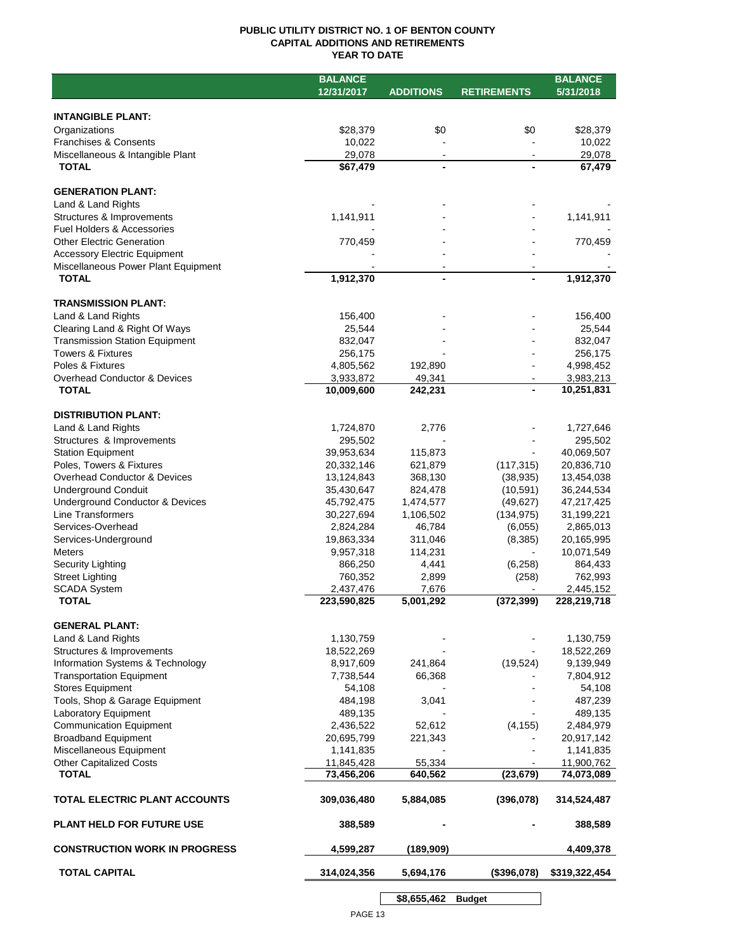## **PUBLIC UTILITY DISTRICT NO. 1 OF BENTON COUNTY CAPITAL ADDITIONS AND RETIREMENTS YEAR TO DATE**

|                                       | <b>BALANCE</b> |                        |                    | <b>BALANCE</b> |
|---------------------------------------|----------------|------------------------|--------------------|----------------|
|                                       | 12/31/2017     | <b>ADDITIONS</b>       | <b>RETIREMENTS</b> | 5/31/2018      |
|                                       |                |                        |                    |                |
| <b>INTANGIBLE PLANT:</b>              |                |                        |                    |                |
| Organizations                         | \$28,379       | \$0                    | \$0                | \$28,379       |
| <b>Franchises &amp; Consents</b>      | 10,022         |                        |                    | 10,022         |
| Miscellaneous & Intangible Plant      | 29,078         | $\blacksquare$         |                    | 29,078         |
| <b>TOTAL</b>                          | \$67,479       | $\blacksquare$         |                    | 67,479         |
|                                       |                |                        |                    |                |
| <b>GENERATION PLANT:</b>              |                |                        |                    |                |
| Land & Land Rights                    |                |                        |                    |                |
| Structures & Improvements             | 1,141,911      |                        |                    | 1,141,911      |
| <b>Fuel Holders &amp; Accessories</b> |                |                        |                    |                |
| <b>Other Electric Generation</b>      | 770,459        |                        |                    | 770,459        |
| <b>Accessory Electric Equipment</b>   |                |                        |                    |                |
| Miscellaneous Power Plant Equipment   |                |                        |                    |                |
| <b>TOTAL</b>                          | 1,912,370      | $\blacksquare$         |                    | 1,912,370      |
|                                       |                |                        |                    |                |
| <b>TRANSMISSION PLANT:</b>            |                |                        |                    |                |
| Land & Land Rights                    | 156,400        |                        |                    | 156,400        |
| Clearing Land & Right Of Ways         | 25,544         |                        |                    | 25,544         |
| <b>Transmission Station Equipment</b> | 832,047        |                        |                    | 832,047        |
| <b>Towers &amp; Fixtures</b>          | 256,175        |                        |                    | 256,175        |
| Poles & Fixtures                      | 4,805,562      | 192,890                |                    | 4,998,452      |
| Overhead Conductor & Devices          | 3,933,872      | 49,341                 |                    | 3,983,213      |
| <b>TOTAL</b>                          | 10,009,600     | 242,231                |                    | 10,251,831     |
|                                       |                |                        |                    |                |
| <b>DISTRIBUTION PLANT:</b>            |                |                        |                    |                |
| Land & Land Rights                    | 1,724,870      | 2,776                  |                    | 1,727,646      |
| Structures & Improvements             | 295,502        |                        |                    | 295,502        |
| <b>Station Equipment</b>              | 39,953,634     | 115,873                |                    | 40,069,507     |
| Poles, Towers & Fixtures              | 20,332,146     | 621,879                | (117, 315)         | 20,836,710     |
| Overhead Conductor & Devices          | 13,124,843     | 368,130                | (38, 935)          | 13,454,038     |
| <b>Underground Conduit</b>            | 35,430,647     | 824,478                | (10, 591)          | 36,244,534     |
| Underground Conductor & Devices       | 45,792,475     | 1,474,577              | (49, 627)          | 47,217,425     |
| Line Transformers                     | 30,227,694     | 1,106,502              | (134, 975)         | 31,199,221     |
| Services-Overhead                     | 2,824,284      | 46,784                 | (6,055)            | 2,865,013      |
| Services-Underground                  | 19,863,334     | 311,046                | (8,385)            | 20,165,995     |
| <b>Meters</b>                         | 9,957,318      | 114,231                | $\blacksquare$     | 10,071,549     |
| Security Lighting                     | 866,250        | 4,441                  | (6, 258)           | 864,433        |
| <b>Street Lighting</b>                | 760,352        | 2,899                  | (258)              | 762,993        |
| <b>SCADA System</b>                   | 2,437,476      | 7,676                  |                    | 2,445,152      |
| <b>TOTAL</b>                          | 223,590,825    | $\overline{5,001,292}$ | (372, 399)         | 228,219,718    |
|                                       |                |                        |                    |                |
| <b>GENERAL PLANT:</b>                 |                |                        |                    |                |
| Land & Land Rights                    | 1,130,759      |                        |                    | 1,130,759      |
| Structures & Improvements             | 18,522,269     |                        |                    | 18,522,269     |
| Information Systems & Technology      | 8,917,609      | 241,864                | (19, 524)          | 9,139,949      |
| <b>Transportation Equipment</b>       | 7,738,544      | 66,368                 |                    | 7,804,912      |
| <b>Stores Equipment</b>               | 54,108         |                        |                    | 54,108         |
| Tools, Shop & Garage Equipment        | 484,198        | 3,041                  |                    | 487,239        |
| Laboratory Equipment                  | 489,135        |                        |                    | 489,135        |
| <b>Communication Equipment</b>        | 2,436,522      | 52,612                 | (4, 155)           | 2,484,979      |
| <b>Broadband Equipment</b>            | 20,695,799     | 221,343                |                    | 20,917,142     |
| Miscellaneous Equipment               | 1,141,835      |                        |                    | 1,141,835      |
| <b>Other Capitalized Costs</b>        | 11,845,428     | 55,334                 |                    | 11,900,762     |
| <b>TOTAL</b>                          | 73,456,206     | 640,562                | (23, 679)          | 74,073,089     |
|                                       |                |                        |                    |                |
| TOTAL ELECTRIC PLANT ACCOUNTS         | 309,036,480    | 5,884,085              | (396, 078)         | 314,524,487    |
|                                       |                |                        |                    |                |
| <b>PLANT HELD FOR FUTURE USE</b>      | 388,589        |                        |                    | 388,589        |
|                                       |                |                        |                    |                |
| <b>CONSTRUCTION WORK IN PROGRESS</b>  | 4,599,287      | (189, 909)             |                    | 4,409,378      |
| <b>TOTAL CAPITAL</b>                  | 314,024,356    | 5,694,176              | (\$396,078)        | \$319,322,454  |
|                                       |                |                        |                    |                |
|                                       |                |                        |                    |                |

**\$8,655,462 Budget**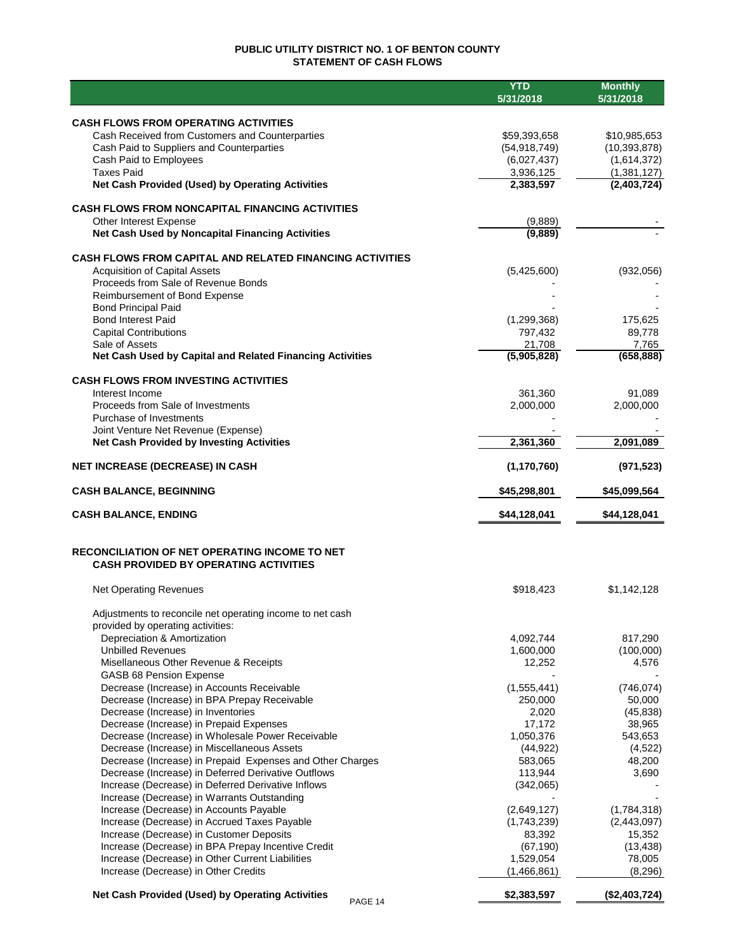# **PUBLIC UTILITY DISTRICT NO. 1 OF BENTON COUNTY STATEMENT OF CASH FLOWS**

|                                                                                                           | <b>YTD</b>             | <b>Monthly</b>       |
|-----------------------------------------------------------------------------------------------------------|------------------------|----------------------|
|                                                                                                           | 5/31/2018              | 5/31/2018            |
| <b>CASH FLOWS FROM OPERATING ACTIVITIES</b>                                                               |                        |                      |
| Cash Received from Customers and Counterparties                                                           | \$59,393,658           | \$10,985,653         |
| Cash Paid to Suppliers and Counterparties                                                                 | (54, 918, 749)         | (10, 393, 878)       |
| Cash Paid to Employees                                                                                    | (6,027,437)            | (1,614,372)          |
| <b>Taxes Paid</b>                                                                                         | 3,936,125              | (1,381,127)          |
| Net Cash Provided (Used) by Operating Activities                                                          | 2,383,597              | (2,403,724)          |
| <b>CASH FLOWS FROM NONCAPITAL FINANCING ACTIVITIES</b>                                                    |                        |                      |
| Other Interest Expense                                                                                    | (9,889)                |                      |
| Net Cash Used by Noncapital Financing Activities                                                          | (9,889)                |                      |
|                                                                                                           |                        |                      |
| <b>CASH FLOWS FROM CAPITAL AND RELATED FINANCING ACTIVITIES</b><br><b>Acquisition of Capital Assets</b>   |                        |                      |
| Proceeds from Sale of Revenue Bonds                                                                       | (5,425,600)            | (932, 056)           |
| Reimbursement of Bond Expense                                                                             |                        |                      |
| <b>Bond Principal Paid</b>                                                                                |                        |                      |
| <b>Bond Interest Paid</b>                                                                                 | (1, 299, 368)          | 175,625              |
| <b>Capital Contributions</b>                                                                              | 797,432                | 89,778               |
| Sale of Assets                                                                                            | 21,708                 | 7,765                |
| Net Cash Used by Capital and Related Financing Activities                                                 | (5,905,828)            | (658, 888)           |
| <b>CASH FLOWS FROM INVESTING ACTIVITIES</b>                                                               |                        |                      |
| Interest Income                                                                                           | 361,360                | 91,089               |
| Proceeds from Sale of Investments                                                                         | 2,000,000              | 2,000,000            |
| Purchase of Investments                                                                                   |                        |                      |
| Joint Venture Net Revenue (Expense)                                                                       |                        |                      |
| <b>Net Cash Provided by Investing Activities</b>                                                          | 2,361,360              | 2,091,089            |
| <b>NET INCREASE (DECREASE) IN CASH</b>                                                                    | (1, 170, 760)          | (971, 523)           |
| <b>CASH BALANCE, BEGINNING</b>                                                                            | \$45,298,801           | \$45,099,564         |
| <b>CASH BALANCE, ENDING</b>                                                                               | \$44,128,041           | \$44,128,041         |
| RECONCILIATION OF NET OPERATING INCOME TO NET<br><b>CASH PROVIDED BY OPERATING ACTIVITIES</b>             |                        |                      |
| <b>Net Operating Revenues</b>                                                                             | \$918,423              | \$1,142,128          |
|                                                                                                           |                        |                      |
| Adjustments to reconcile net operating income to net cash                                                 |                        |                      |
| provided by operating activities:                                                                         |                        |                      |
| Depreciation & Amortization<br><b>Unbilled Revenues</b>                                                   | 4,092,744<br>1,600,000 | 817,290<br>(100,000) |
| Misellaneous Other Revenue & Receipts                                                                     | 12,252                 | 4,576                |
| GASB 68 Pension Expense                                                                                   |                        |                      |
| Decrease (Increase) in Accounts Receivable                                                                | (1,555,441)            | (746, 074)           |
| Decrease (Increase) in BPA Prepay Receivable                                                              | 250,000                | 50,000               |
| Decrease (Increase) in Inventories                                                                        | 2,020                  | (45, 838)            |
| Decrease (Increase) in Prepaid Expenses                                                                   | 17,172                 | 38,965               |
| Decrease (Increase) in Wholesale Power Receivable                                                         | 1,050,376              | 543,653              |
| Decrease (Increase) in Miscellaneous Assets                                                               | (44, 922)              | (4,522)              |
| Decrease (Increase) in Prepaid Expenses and Other Charges                                                 | 583,065                | 48,200               |
| Decrease (Increase) in Deferred Derivative Outflows<br>Increase (Decrease) in Deferred Derivative Inflows | 113,944                | 3,690                |
| Increase (Decrease) in Warrants Outstanding                                                               | (342,065)              |                      |
| Increase (Decrease) in Accounts Payable                                                                   | (2,649,127)            | (1,784,318)          |
| Increase (Decrease) in Accrued Taxes Payable                                                              | (1,743,239)            | (2,443,097)          |
| Increase (Decrease) in Customer Deposits                                                                  | 83,392                 | 15,352               |
| Increase (Decrease) in BPA Prepay Incentive Credit                                                        | (67, 190)              | (13, 438)            |
| Increase (Decrease) in Other Current Liabilities                                                          | 1,529,054              | 78,005               |
| Increase (Decrease) in Other Credits                                                                      | (1,466,861)            | (8,296)              |
| <b>Net Cash Provided (Used) by Operating Activities</b><br>PAGE 14                                        | \$2,383,597            | (\$2,403,724)        |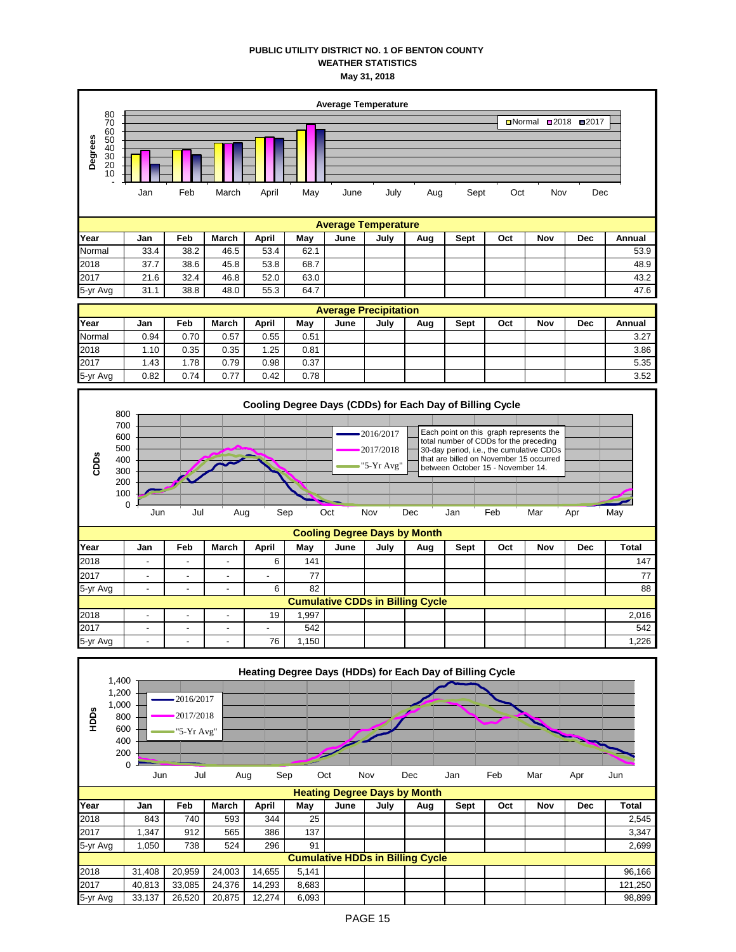## **PUBLIC UTILITY DISTRICT NO. 1 OF BENTON COUNTY WEATHER STATISTICS May 31, 2018**



|                  | 1,400                                   |        |                          |        |        |       |      |      | Heating Degree Days (HDDs) for Each Day of Billing Cycle |      |     |     |            |         |
|------------------|-----------------------------------------|--------|--------------------------|--------|--------|-------|------|------|----------------------------------------------------------|------|-----|-----|------------|---------|
|                  |                                         |        |                          |        |        |       |      |      |                                                          |      |     |     |            |         |
|                  | 1,200                                   |        | 2016/2017                |        |        |       |      |      |                                                          |      |     |     |            |         |
|                  | 1,000                                   |        |                          |        |        |       |      |      |                                                          |      |     |     |            |         |
| HDD <sub>S</sub> | 800                                     |        | 2017/2018                |        |        |       |      |      |                                                          |      |     |     |            |         |
|                  | 600                                     |        | $\rightarrow$ "5-Yr Avg" |        |        |       |      |      |                                                          |      |     |     |            |         |
|                  | 400                                     |        |                          |        |        |       |      |      |                                                          |      |     |     |            |         |
|                  | 200                                     |        |                          |        |        |       |      |      |                                                          |      |     |     |            |         |
|                  | $\mathbf 0$                             |        |                          |        |        |       |      |      |                                                          |      |     |     |            |         |
|                  |                                         | Jun    | Jul                      | Aug    | Sep    | Oct   |      | Nov  | Dec                                                      | Jan  | Feb | Mar | Apr        | Jun     |
|                  |                                         |        |                          |        |        |       |      |      | <b>Heating Degree Days by Month</b>                      |      |     |     |            |         |
| Year             |                                         | Jan    | Feb                      | March  | April  | May   | June | July | Aug                                                      | Sept | Oct | Nov | <b>Dec</b> | Total   |
| 2018             |                                         | 843    | 740                      | 593    | 344    | 25    |      |      |                                                          |      |     |     |            | 2,545   |
| 2017             |                                         | 1,347  | 912                      | 565    | 386    | 137   |      |      |                                                          |      |     |     |            | 3,347   |
| 5-yr Avg         |                                         | 1,050  | 738                      | 524    | 296    | 91    |      |      |                                                          |      |     |     |            | 2,699   |
|                  | <b>Cumulative HDDs in Billing Cycle</b> |        |                          |        |        |       |      |      |                                                          |      |     |     |            |         |
| 2018             |                                         | 31,408 | 20,959                   | 24,003 | 14,655 | 5,141 |      |      |                                                          |      |     |     |            | 96,166  |
| 2017             |                                         | 40,813 | 33,085                   | 24,376 | 14,293 | 8,683 |      |      |                                                          |      |     |     |            | 121,250 |
| 5-yr Avg         |                                         | 33,137 | 26,520                   | 20,875 | 12,274 | 6,093 |      |      |                                                          |      |     |     |            | 98,899  |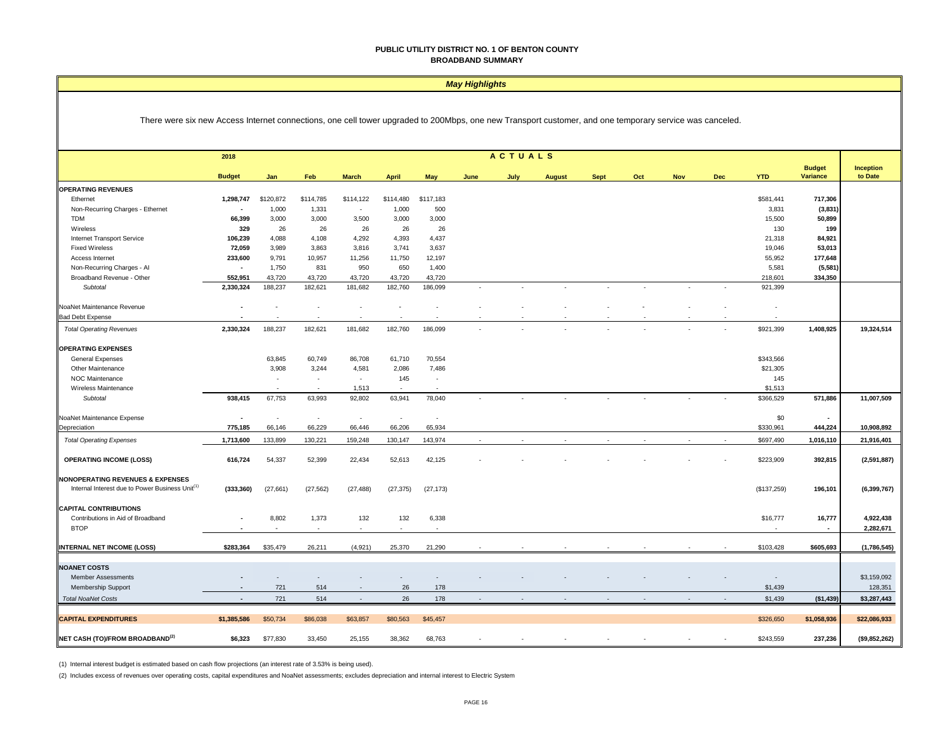#### *May Highlights*

There were six new Access Internet connections, one cell tower upgraded to 200Mbps, one new Transport customer, and one temporary service was canceled.

|                                                             | <b>ACTUALS</b><br>2018      |                            |                          |                          |              |           |                          |      |               |             |     |     |     |                          |                           |                             |
|-------------------------------------------------------------|-----------------------------|----------------------------|--------------------------|--------------------------|--------------|-----------|--------------------------|------|---------------|-------------|-----|-----|-----|--------------------------|---------------------------|-----------------------------|
|                                                             | <b>Budget</b>               | Jan                        |                          | <b>March</b>             |              | May       |                          |      |               |             | Oct | Nov |     | <b>YTD</b>               | <b>Budget</b><br>Variance | <b>Inception</b><br>to Date |
|                                                             |                             |                            | Feb                      |                          | <b>April</b> |           | June                     | July | <b>August</b> | <b>Sept</b> |     |     | Dec |                          |                           |                             |
| <b>OPERATING REVENUES</b>                                   |                             | \$120,872                  | \$114,785                | \$114,122                | \$114,480    | \$117,183 |                          |      |               |             |     |     |     |                          |                           |                             |
| Ethernet                                                    | 1,298,747<br>$\blacksquare$ | 1,000                      | 1,331                    | ٠                        | 1,000        | 500       |                          |      |               |             |     |     |     | \$581,441<br>3,831       | 717,306                   |                             |
| Non-Recurring Charges - Ethernet<br><b>TDM</b>              | 66,399                      | 3,000                      |                          | 3,500                    | 3,000        | 3,000     |                          |      |               |             |     |     |     | 15,500                   | (3,831)                   |                             |
| Wireless                                                    | 329                         | 26                         | 3,000<br>26              | 26                       | 26           | 26        |                          |      |               |             |     |     |     | 130                      | 50,899<br>199             |                             |
| Internet Transport Service                                  | 106,239                     | 4,088                      | 4,108                    | 4,292                    | 4,393        | 4,437     |                          |      |               |             |     |     |     | 21,318                   | 84,921                    |                             |
| <b>Fixed Wireless</b>                                       | 72,059                      | 3,989                      | 3,863                    | 3,816                    | 3,741        | 3,637     |                          |      |               |             |     |     |     | 19,046                   | 53,013                    |                             |
| Access Internet                                             | 233,600                     | 9,791                      | 10,957                   | 11,256                   | 11,750       | 12,197    |                          |      |               |             |     |     |     | 55,952                   | 177,648                   |                             |
| Non-Recurring Charges - Al                                  | $\sim$                      | 1,750                      | 831                      | 950                      | 650          | 1,400     |                          |      |               |             |     |     |     | 5,581                    | (5, 581)                  |                             |
| Broadband Revenue - Other                                   | 552,951                     | 43,720                     | 43,720                   | 43,720                   | 43,720       | 43,720    |                          |      |               |             |     |     |     | 218,601                  | 334,350                   |                             |
| Subtotal                                                    | 2,330,324                   | 188,237                    | 182,621                  | 181,682                  | 182,760      | 186,099   | $\overline{\phantom{a}}$ |      |               |             |     |     |     | 921,399                  |                           |                             |
| NoaNet Maintenance Revenue                                  |                             |                            |                          |                          |              |           |                          |      |               |             |     |     |     |                          |                           |                             |
| <b>Bad Debt Expense</b>                                     |                             |                            |                          |                          |              |           |                          |      |               |             |     |     |     |                          |                           |                             |
| <b>Total Operating Revenues</b>                             | 2,330,324                   | 188,237                    | 182,621                  | 181,682                  | 182,760      | 186,099   |                          |      |               |             |     |     |     | \$921,399                | 1,408,925                 | 19,324,514                  |
| <b>OPERATING EXPENSES</b>                                   |                             |                            |                          |                          |              |           |                          |      |               |             |     |     |     |                          |                           |                             |
| <b>General Expenses</b>                                     |                             | 63,845                     | 60,749                   | 86,708                   | 61,710       | 70,554    |                          |      |               |             |     |     |     | \$343,566                |                           |                             |
| Other Maintenance                                           |                             | 3,908                      | 3,244                    | 4,581                    | 2,086        | 7,486     |                          |      |               |             |     |     |     | \$21,305                 |                           |                             |
| <b>NOC Maintenance</b>                                      |                             | ۰.                         | $\overline{\phantom{a}}$ | $\sim$                   | 145          | ٠         |                          |      |               |             |     |     |     | 145                      |                           |                             |
| Wireless Maintenance                                        |                             | <b><i><u>Parts</u></i></b> | $\sim$                   | 1,513                    | . —          | $\sim$    |                          |      |               |             |     |     |     | \$1,513                  |                           |                             |
| Subtotal                                                    | 938,415                     | 67,753                     | 63,993                   | 92,802                   | 63,941       | 78,040    |                          |      |               |             |     |     |     | \$366,529                | 571,886                   | 11,007,509                  |
| NoaNet Maintenance Expense                                  | ÷,                          | $\overline{\phantom{a}}$   | $\overline{\phantom{a}}$ | $\overline{\phantom{a}}$ | $\sim$       | ×,        |                          |      |               |             |     |     |     | \$0                      | $\sim$                    |                             |
| Depreciation                                                | 775,185                     | 66,146                     | 66,229                   | 66,446                   | 66,206       | 65,934    |                          |      |               |             |     |     |     | \$330,961                | 444,224                   | 10,908,892                  |
| <b>Total Operating Expenses</b>                             | 1,713,600                   | 133,899                    | 130,221                  | 159,248                  | 130,147      | 143,974   |                          |      |               |             |     |     |     | \$697,490                | 1,016,110                 | 21,916,401                  |
| <b>OPERATING INCOME (LOSS)</b>                              | 616,724                     | 54,337                     | 52,399                   | 22,434                   | 52,613       | 42,125    |                          |      |               |             |     |     |     | \$223,909                | 392,815                   | (2,591,887)                 |
| <b>NONOPERATING REVENUES &amp; EXPENSES</b>                 |                             |                            |                          |                          |              |           |                          |      |               |             |     |     |     |                          |                           |                             |
| Internal Interest due to Power Business Unit <sup>(1)</sup> | (333, 360)                  | (27, 661)                  | (27, 562)                | (27, 488)                | (27, 375)    | (27, 173) |                          |      |               |             |     |     |     | (\$137,259)              | 196,101                   | (6, 399, 767)               |
| <b>CAPITAL CONTRIBUTIONS</b>                                |                             |                            |                          |                          |              |           |                          |      |               |             |     |     |     |                          |                           |                             |
| Contributions in Aid of Broadband                           | $\blacksquare$              | 8,802                      | 1,373                    | 132                      | 132          | 6,338     |                          |      |               |             |     |     |     | \$16,777                 | 16,777                    | 4,922,438                   |
| <b>BTOP</b>                                                 |                             |                            | $\sim$                   | $\sim$                   |              |           |                          |      |               |             |     |     |     |                          | $\sim$                    | 2,282,671                   |
| <b>INTERNAL NET INCOME (LOSS)</b>                           | \$283,364                   | \$35,479                   | 26.211                   | (4.921)                  | 25,370       | 21,290    |                          |      |               |             |     |     |     | \$103,428                | \$605,693                 | (1,786,545)                 |
|                                                             |                             |                            |                          |                          |              |           |                          |      |               |             |     |     |     |                          |                           |                             |
| <b>NOANET COSTS</b>                                         |                             |                            |                          |                          |              |           |                          |      |               |             |     |     |     |                          |                           |                             |
| <b>Member Assessments</b>                                   |                             |                            |                          |                          |              |           |                          |      |               |             |     |     |     | $\overline{\phantom{a}}$ |                           | \$3,159,092                 |
| Membership Support                                          | ٠                           | 721                        | 514                      | $\overline{\phantom{a}}$ | 26           | 178       |                          |      |               |             |     |     |     | \$1,439                  |                           | 128,351                     |
| <b>Total NoaNet Costs</b>                                   | $\sim$                      | 721                        | 514                      | $\sim$                   | 26           | 178       |                          |      |               |             |     |     |     | \$1,439                  | ( \$1,439)                | \$3,287,443                 |
| <b>CAPITAL EXPENDITURES</b>                                 | \$1,385,586                 | \$50,734                   | \$86,038                 | \$63,857                 | \$80,563     | \$45,457  |                          |      |               |             |     |     |     | \$326,650                | \$1,058,936               | \$22,086,933                |
| NET CASH (TO)/FROM BROADBAND <sup>(2)</sup>                 | \$6,323                     | \$77,830                   | 33,450                   | 25,155                   | 38,362       | 68,763    |                          |      |               |             |     |     |     | \$243,559                | 237,236                   | (\$9,852,262)               |

(1) Internal interest budget is estimated based on cash flow projections (an interest rate of 3.53% is being used).

(2) Includes excess of revenues over operating costs, capital expenditures and NoaNet assessments; excludes depreciation and internal interest to Electric System